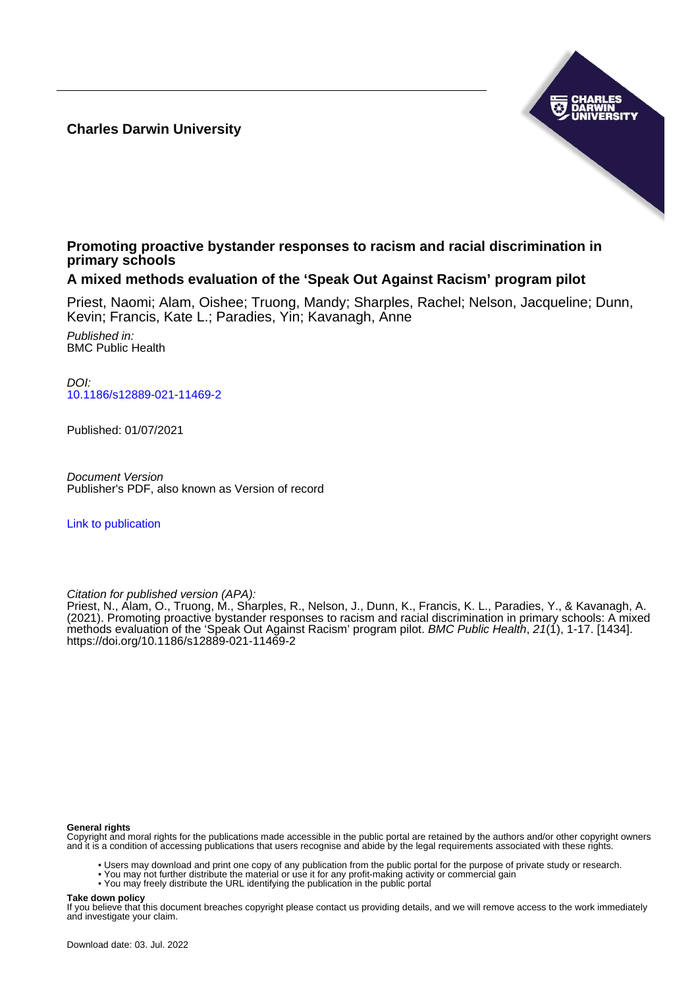**Charles Darwin University**



# **Promoting proactive bystander responses to racism and racial discrimination in primary schools**

## **A mixed methods evaluation of the 'Speak Out Against Racism' program pilot**

Priest, Naomi; Alam, Oishee; Truong, Mandy; Sharples, Rachel; Nelson, Jacqueline; Dunn, Kevin; Francis, Kate L.; Paradies, Yin; Kavanagh, Anne

Published in: BMC Public Health

DOI: [10.1186/s12889-021-11469-2](https://doi.org/10.1186/s12889-021-11469-2)

Published: 01/07/2021

Document Version Publisher's PDF, also known as Version of record

[Link to publication](https://researchers.cdu.edu.au/en/publications/4c42ff29-ceca-497d-8933-6c14da37dc0a)

Citation for published version (APA):

Priest, N., Alam, O., Truong, M., Sharples, R., Nelson, J., Dunn, K., Francis, K. L., Paradies, Y., & Kavanagh, A. (2021). Promoting proactive bystander responses to racism and racial discrimination in primary schools: A mixed methods evaluation of the 'Speak Out Against Racism' program pilot. BMC Public Health, 21(1), 1-17. [1434]. <https://doi.org/10.1186/s12889-021-11469-2>

#### **General rights**

Copyright and moral rights for the publications made accessible in the public portal are retained by the authors and/or other copyright owners and it is a condition of accessing publications that users recognise and abide by the legal requirements associated with these rights.

- Users may download and print one copy of any publication from the public portal for the purpose of private study or research.
- You may not further distribute the material or use it for any profit-making activity or commercial gain
- You may freely distribute the URL identifying the publication in the public portal

#### **Take down policy**

If you believe that this document breaches copyright please contact us providing details, and we will remove access to the work immediately and investigate your claim.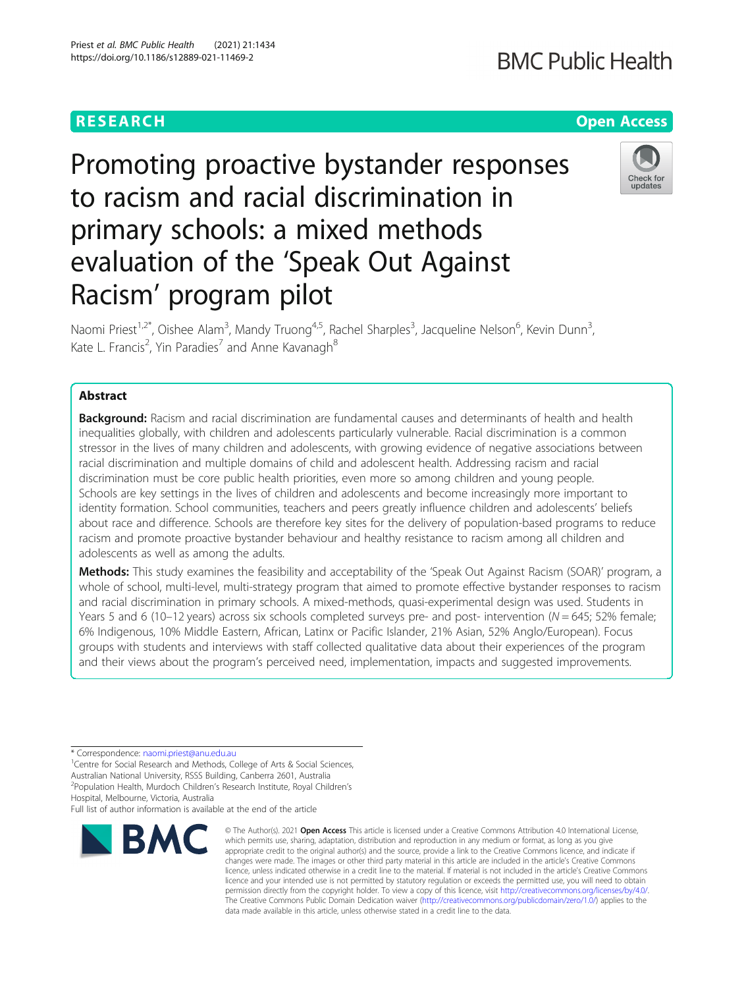# Promoting proactive bystander responses to racism and racial discrimination in primary schools: a mixed methods evaluation of the 'Speak Out Against Racism' program pilot

Naomi Priest<sup>1,2\*</sup>, Oishee Alam<sup>3</sup>, Mandy Truong<sup>4,5</sup>, Rachel Sharples<sup>3</sup>, Jacqueline Nelson<sup>6</sup>, Kevin Dunn<sup>3</sup> , Kate L. Francis<sup>2</sup>, Yin Paradies<sup>7</sup> and Anne Kavanagh<sup>8</sup>

### Abstract

**Background:** Racism and racial discrimination are fundamental causes and determinants of health and health inequalities globally, with children and adolescents particularly vulnerable. Racial discrimination is a common stressor in the lives of many children and adolescents, with growing evidence of negative associations between racial discrimination and multiple domains of child and adolescent health. Addressing racism and racial discrimination must be core public health priorities, even more so among children and young people. Schools are key settings in the lives of children and adolescents and become increasingly more important to identity formation. School communities, teachers and peers greatly influence children and adolescents' beliefs about race and difference. Schools are therefore key sites for the delivery of population-based programs to reduce racism and promote proactive bystander behaviour and healthy resistance to racism among all children and adolescents as well as among the adults.

Methods: This study examines the feasibility and acceptability of the 'Speak Out Against Racism (SOAR)' program, a whole of school, multi-level, multi-strategy program that aimed to promote effective bystander responses to racism and racial discrimination in primary schools. A mixed-methods, quasi-experimental design was used. Students in Years 5 and 6 (10–12 years) across six schools completed surveys pre- and post- intervention ( $N = 645$ ; 52% female; 6% Indigenous, 10% Middle Eastern, African, Latinx or Pacific Islander, 21% Asian, 52% Anglo/European). Focus groups with students and interviews with staff collected qualitative data about their experiences of the program and their views about the program's perceived need, implementation, impacts and suggested improvements.

\* Correspondence: [naomi.priest@anu.edu.au](mailto:naomi.priest@anu.edu.au) <sup>1</sup>

<sup>1</sup> Centre for Social Research and Methods, College of Arts & Social Sciences, Australian National University, RSSS Building, Canberra 2601, Australia 2 Population Health, Murdoch Children's Research Institute, Royal Children's Hospital, Melbourne, Victoria, Australia

Full list of author information is available at the end of the article

### © The Author(s), 2021 **Open Access** This article is licensed under a Creative Commons Attribution 4.0 International License, which permits use, sharing, adaptation, distribution and reproduction in any medium or format, as long as you give appropriate credit to the original author(s) and the source, provide a link to the Creative Commons licence, and indicate if changes were made. The images or other third party material in this article are included in the article's Creative Commons licence, unless indicated otherwise in a credit line to the material. If material is not included in the article's Creative Commons licence and your intended use is not permitted by statutory regulation or exceeds the permitted use, you will need to obtain

data made available in this article, unless otherwise stated in a credit line to the data.

permission directly from the copyright holder. To view a copy of this licence, visit [http://creativecommons.org/licenses/by/4.0/.](http://creativecommons.org/licenses/by/4.0/) The Creative Commons Public Domain Dedication waiver [\(http://creativecommons.org/publicdomain/zero/1.0/](http://creativecommons.org/publicdomain/zero/1.0/)) applies to the





# **RESEARCH CHE Open Access**



# **RMC**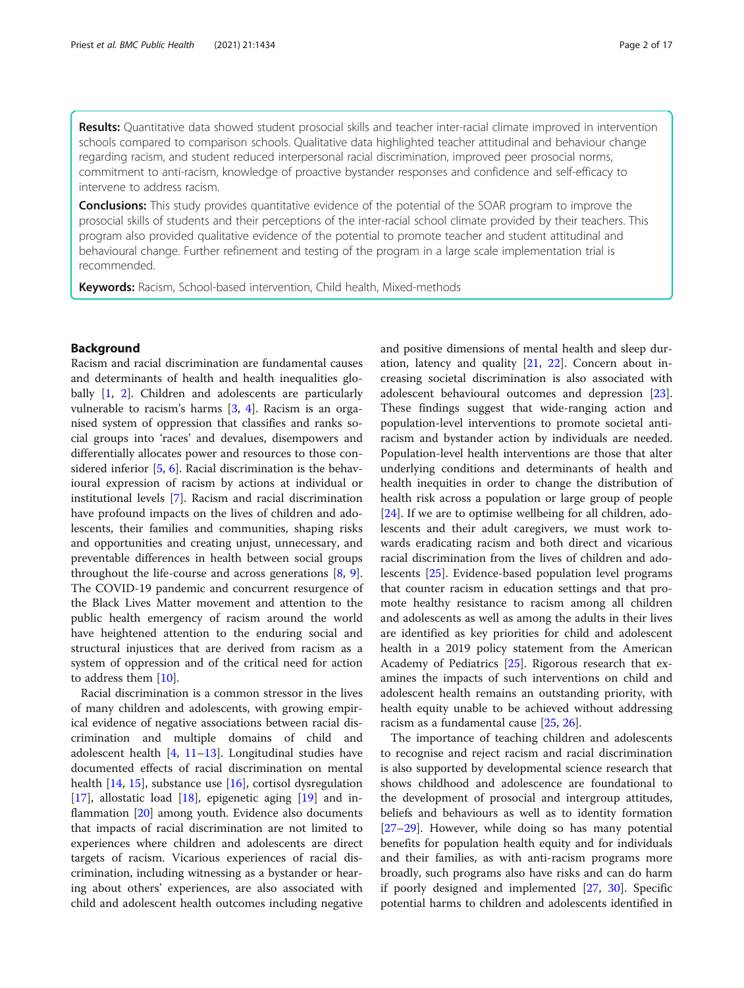Results: Quantitative data showed student prosocial skills and teacher inter-racial climate improved in intervention schools compared to comparison schools. Qualitative data highlighted teacher attitudinal and behaviour change regarding racism, and student reduced interpersonal racial discrimination, improved peer prosocial norms, commitment to anti-racism, knowledge of proactive bystander responses and confidence and self-efficacy to intervene to address racism.

**Conclusions:** This study provides quantitative evidence of the potential of the SOAR program to improve the prosocial skills of students and their perceptions of the inter-racial school climate provided by their teachers. This program also provided qualitative evidence of the potential to promote teacher and student attitudinal and behavioural change. Further refinement and testing of the program in a large scale implementation trial is recommended.

Keywords: Racism, School-based intervention, Child health, Mixed-methods

#### Background

Racism and racial discrimination are fundamental causes and determinants of health and health inequalities glo-bally [\[1](#page-16-0), [2\]](#page-16-0). Children and adolescents are particularly vulnerable to racism's harms [\[3](#page-16-0), [4](#page-16-0)]. Racism is an organised system of oppression that classifies and ranks social groups into 'races' and devalues, disempowers and differentially allocates power and resources to those considered inferior [\[5](#page-16-0), [6](#page-16-0)]. Racial discrimination is the behavioural expression of racism by actions at individual or institutional levels [\[7](#page-16-0)]. Racism and racial discrimination have profound impacts on the lives of children and adolescents, their families and communities, shaping risks and opportunities and creating unjust, unnecessary, and preventable differences in health between social groups throughout the life-course and across generations [[8,](#page-16-0) [9](#page-16-0)]. The COVID-19 pandemic and concurrent resurgence of the Black Lives Matter movement and attention to the public health emergency of racism around the world have heightened attention to the enduring social and structural injustices that are derived from racism as a system of oppression and of the critical need for action to address them [[10](#page-16-0)].

Racial discrimination is a common stressor in the lives of many children and adolescents, with growing empirical evidence of negative associations between racial discrimination and multiple domains of child and adolescent health  $[4, 11-13]$  $[4, 11-13]$  $[4, 11-13]$  $[4, 11-13]$  $[4, 11-13]$  $[4, 11-13]$  $[4, 11-13]$ . Longitudinal studies have documented effects of racial discrimination on mental health [\[14,](#page-16-0) [15](#page-16-0)], substance use [\[16\]](#page-16-0), cortisol dysregulation  $[17]$  $[17]$ , allostatic load  $[18]$  $[18]$ , epigenetic aging  $[19]$  $[19]$  and in-flammation [\[20\]](#page-16-0) among youth. Evidence also documents that impacts of racial discrimination are not limited to experiences where children and adolescents are direct targets of racism. Vicarious experiences of racial discrimination, including witnessing as a bystander or hearing about others' experiences, are also associated with child and adolescent health outcomes including negative and positive dimensions of mental health and sleep duration, latency and quality [[21,](#page-16-0) [22\]](#page-16-0). Concern about increasing societal discrimination is also associated with adolescent behavioural outcomes and depression [\[23](#page-16-0)]. These findings suggest that wide-ranging action and population-level interventions to promote societal antiracism and bystander action by individuals are needed. Population-level health interventions are those that alter underlying conditions and determinants of health and health inequities in order to change the distribution of health risk across a population or large group of people [[24\]](#page-16-0). If we are to optimise wellbeing for all children, adolescents and their adult caregivers, we must work towards eradicating racism and both direct and vicarious racial discrimination from the lives of children and adolescents [[25\]](#page-16-0). Evidence-based population level programs that counter racism in education settings and that promote healthy resistance to racism among all children and adolescents as well as among the adults in their lives are identified as key priorities for child and adolescent health in a 2019 policy statement from the American Academy of Pediatrics [[25](#page-16-0)]. Rigorous research that examines the impacts of such interventions on child and adolescent health remains an outstanding priority, with health equity unable to be achieved without addressing racism as a fundamental cause [[25,](#page-16-0) [26\]](#page-16-0).

The importance of teaching children and adolescents to recognise and reject racism and racial discrimination is also supported by developmental science research that shows childhood and adolescence are foundational to the development of prosocial and intergroup attitudes, beliefs and behaviours as well as to identity formation [[27](#page-16-0)–[29](#page-16-0)]. However, while doing so has many potential benefits for population health equity and for individuals and their families, as with anti-racism programs more broadly, such programs also have risks and can do harm if poorly designed and implemented [[27,](#page-16-0) [30\]](#page-16-0). Specific potential harms to children and adolescents identified in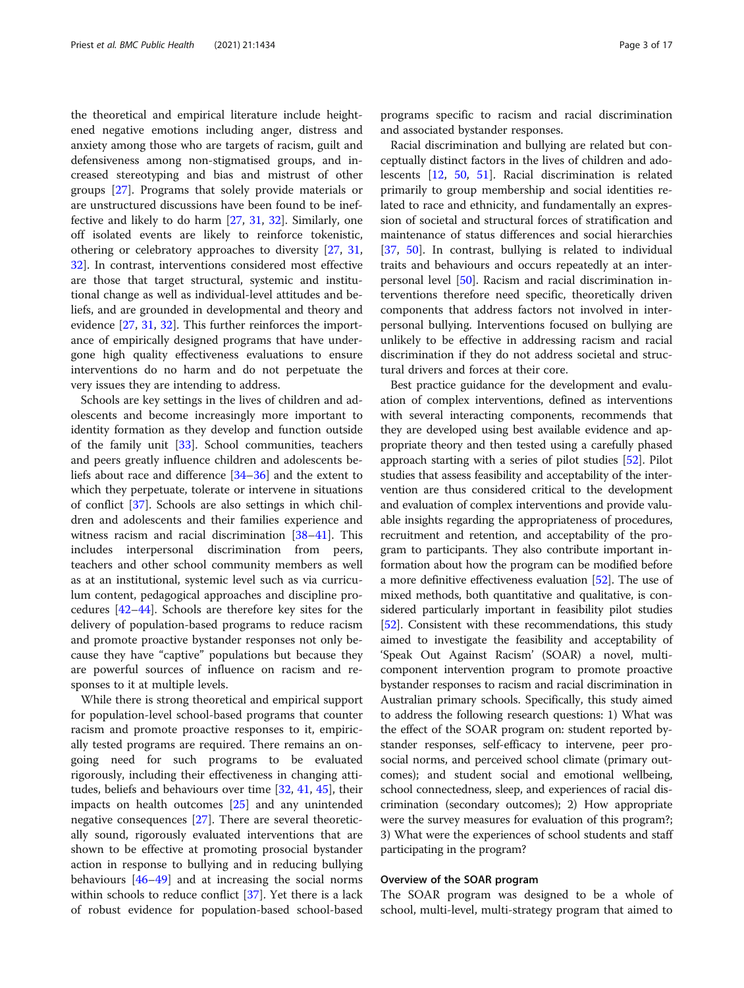the theoretical and empirical literature include heightened negative emotions including anger, distress and anxiety among those who are targets of racism, guilt and defensiveness among non-stigmatised groups, and increased stereotyping and bias and mistrust of other groups [\[27](#page-16-0)]. Programs that solely provide materials or are unstructured discussions have been found to be ineffective and likely to do harm [\[27](#page-16-0), [31,](#page-16-0) [32](#page-16-0)]. Similarly, one off isolated events are likely to reinforce tokenistic, othering or celebratory approaches to diversity [\[27](#page-16-0), [31](#page-16-0), [32\]](#page-16-0). In contrast, interventions considered most effective are those that target structural, systemic and institutional change as well as individual-level attitudes and beliefs, and are grounded in developmental and theory and evidence [\[27](#page-16-0), [31](#page-16-0), [32](#page-16-0)]. This further reinforces the importance of empirically designed programs that have undergone high quality effectiveness evaluations to ensure interventions do no harm and do not perpetuate the very issues they are intending to address.

Schools are key settings in the lives of children and adolescents and become increasingly more important to identity formation as they develop and function outside of the family unit [\[33](#page-16-0)]. School communities, teachers and peers greatly influence children and adolescents beliefs about race and difference [\[34](#page-16-0)–[36\]](#page-16-0) and the extent to which they perpetuate, tolerate or intervene in situations of conflict [\[37](#page-16-0)]. Schools are also settings in which children and adolescents and their families experience and witness racism and racial discrimination [[38](#page-16-0)–[41](#page-17-0)]. This includes interpersonal discrimination from peers, teachers and other school community members as well as at an institutional, systemic level such as via curriculum content, pedagogical approaches and discipline procedures [[42](#page-17-0)–[44\]](#page-17-0). Schools are therefore key sites for the delivery of population-based programs to reduce racism and promote proactive bystander responses not only because they have "captive" populations but because they are powerful sources of influence on racism and responses to it at multiple levels.

While there is strong theoretical and empirical support for population-level school-based programs that counter racism and promote proactive responses to it, empirically tested programs are required. There remains an ongoing need for such programs to be evaluated rigorously, including their effectiveness in changing attitudes, beliefs and behaviours over time [\[32,](#page-16-0) [41](#page-17-0), [45](#page-17-0)], their impacts on health outcomes [[25\]](#page-16-0) and any unintended negative consequences [[27\]](#page-16-0). There are several theoretically sound, rigorously evaluated interventions that are shown to be effective at promoting prosocial bystander action in response to bullying and in reducing bullying behaviours  $[46-49]$  $[46-49]$  $[46-49]$  $[46-49]$  $[46-49]$  and at increasing the social norms within schools to reduce conflict [[37\]](#page-16-0). Yet there is a lack of robust evidence for population-based school-based

programs specific to racism and racial discrimination and associated bystander responses.

Racial discrimination and bullying are related but conceptually distinct factors in the lives of children and adolescents [[12,](#page-16-0) [50,](#page-17-0) [51\]](#page-17-0). Racial discrimination is related primarily to group membership and social identities related to race and ethnicity, and fundamentally an expression of societal and structural forces of stratification and maintenance of status differences and social hierarchies [[37,](#page-16-0) [50](#page-17-0)]. In contrast, bullying is related to individual traits and behaviours and occurs repeatedly at an interpersonal level [\[50](#page-17-0)]. Racism and racial discrimination interventions therefore need specific, theoretically driven components that address factors not involved in interpersonal bullying. Interventions focused on bullying are unlikely to be effective in addressing racism and racial discrimination if they do not address societal and structural drivers and forces at their core.

Best practice guidance for the development and evaluation of complex interventions, defined as interventions with several interacting components, recommends that they are developed using best available evidence and appropriate theory and then tested using a carefully phased approach starting with a series of pilot studies [[52](#page-17-0)]. Pilot studies that assess feasibility and acceptability of the intervention are thus considered critical to the development and evaluation of complex interventions and provide valuable insights regarding the appropriateness of procedures, recruitment and retention, and acceptability of the program to participants. They also contribute important information about how the program can be modified before a more definitive effectiveness evaluation [[52\]](#page-17-0). The use of mixed methods, both quantitative and qualitative, is considered particularly important in feasibility pilot studies [[52](#page-17-0)]. Consistent with these recommendations, this study aimed to investigate the feasibility and acceptability of 'Speak Out Against Racism' (SOAR) a novel, multicomponent intervention program to promote proactive bystander responses to racism and racial discrimination in Australian primary schools. Specifically, this study aimed to address the following research questions: 1) What was the effect of the SOAR program on: student reported bystander responses, self-efficacy to intervene, peer prosocial norms, and perceived school climate (primary outcomes); and student social and emotional wellbeing, school connectedness, sleep, and experiences of racial discrimination (secondary outcomes); 2) How appropriate were the survey measures for evaluation of this program?; 3) What were the experiences of school students and staff participating in the program?

#### Overview of the SOAR program

The SOAR program was designed to be a whole of school, multi-level, multi-strategy program that aimed to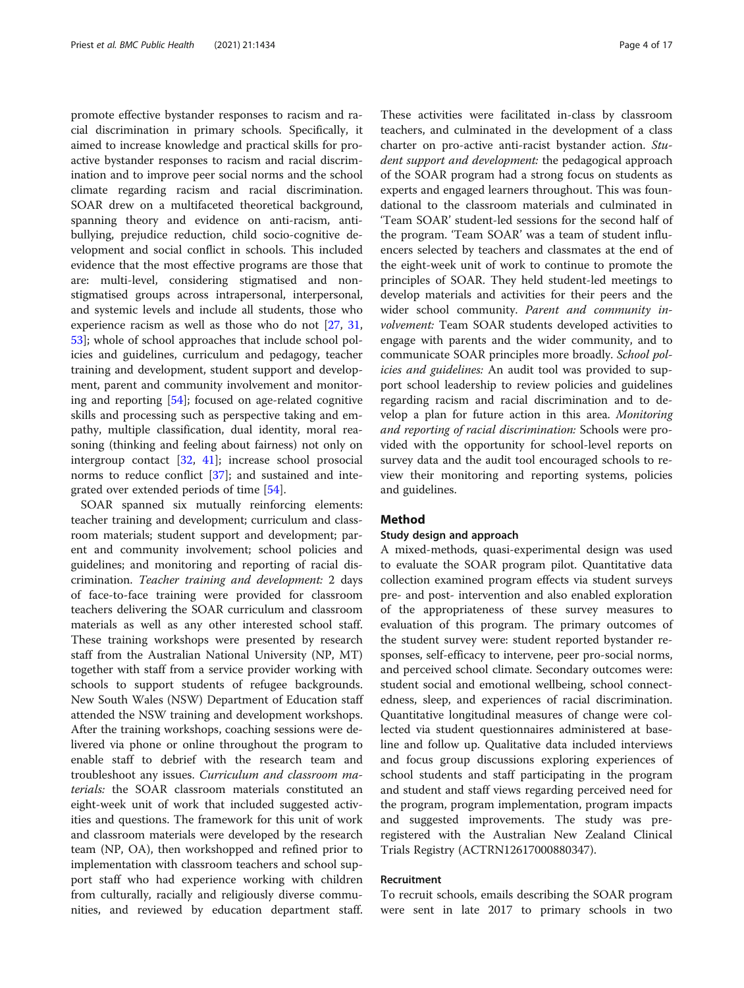promote effective bystander responses to racism and racial discrimination in primary schools. Specifically, it aimed to increase knowledge and practical skills for proactive bystander responses to racism and racial discrimination and to improve peer social norms and the school climate regarding racism and racial discrimination. SOAR drew on a multifaceted theoretical background, spanning theory and evidence on anti-racism, antibullying, prejudice reduction, child socio-cognitive development and social conflict in schools. This included evidence that the most effective programs are those that are: multi-level, considering stigmatised and nonstigmatised groups across intrapersonal, interpersonal, and systemic levels and include all students, those who experience racism as well as those who do not [[27](#page-16-0), [31](#page-16-0), [53\]](#page-17-0); whole of school approaches that include school policies and guidelines, curriculum and pedagogy, teacher training and development, student support and development, parent and community involvement and monitoring and reporting [[54\]](#page-17-0); focused on age-related cognitive skills and processing such as perspective taking and empathy, multiple classification, dual identity, moral reasoning (thinking and feeling about fairness) not only on intergroup contact [[32](#page-16-0), [41](#page-17-0)]; increase school prosocial norms to reduce conflict [\[37\]](#page-16-0); and sustained and integrated over extended periods of time [[54\]](#page-17-0).

SOAR spanned six mutually reinforcing elements: teacher training and development; curriculum and classroom materials; student support and development; parent and community involvement; school policies and guidelines; and monitoring and reporting of racial discrimination. Teacher training and development: 2 days of face-to-face training were provided for classroom teachers delivering the SOAR curriculum and classroom materials as well as any other interested school staff. These training workshops were presented by research staff from the Australian National University (NP, MT) together with staff from a service provider working with schools to support students of refugee backgrounds. New South Wales (NSW) Department of Education staff attended the NSW training and development workshops. After the training workshops, coaching sessions were delivered via phone or online throughout the program to enable staff to debrief with the research team and troubleshoot any issues. Curriculum and classroom materials: the SOAR classroom materials constituted an eight-week unit of work that included suggested activities and questions. The framework for this unit of work and classroom materials were developed by the research team (NP, OA), then workshopped and refined prior to implementation with classroom teachers and school support staff who had experience working with children from culturally, racially and religiously diverse communities, and reviewed by education department staff.

These activities were facilitated in-class by classroom teachers, and culminated in the development of a class charter on pro-active anti-racist bystander action. Student support and development: the pedagogical approach of the SOAR program had a strong focus on students as experts and engaged learners throughout. This was foundational to the classroom materials and culminated in 'Team SOAR' student-led sessions for the second half of the program. 'Team SOAR' was a team of student influencers selected by teachers and classmates at the end of the eight-week unit of work to continue to promote the principles of SOAR. They held student-led meetings to develop materials and activities for their peers and the wider school community. Parent and community involvement: Team SOAR students developed activities to engage with parents and the wider community, and to communicate SOAR principles more broadly. School policies and guidelines: An audit tool was provided to support school leadership to review policies and guidelines regarding racism and racial discrimination and to develop a plan for future action in this area. Monitoring and reporting of racial discrimination: Schools were provided with the opportunity for school-level reports on survey data and the audit tool encouraged schools to review their monitoring and reporting systems, policies and guidelines.

#### Method

#### Study design and approach

A mixed-methods, quasi-experimental design was used to evaluate the SOAR program pilot. Quantitative data collection examined program effects via student surveys pre- and post- intervention and also enabled exploration of the appropriateness of these survey measures to evaluation of this program. The primary outcomes of the student survey were: student reported bystander responses, self-efficacy to intervene, peer pro-social norms, and perceived school climate. Secondary outcomes were: student social and emotional wellbeing, school connectedness, sleep, and experiences of racial discrimination. Quantitative longitudinal measures of change were collected via student questionnaires administered at baseline and follow up. Qualitative data included interviews and focus group discussions exploring experiences of school students and staff participating in the program and student and staff views regarding perceived need for the program, program implementation, program impacts and suggested improvements. The study was preregistered with the Australian New Zealand Clinical Trials Registry (ACTRN12617000880347).

#### Recruitment

To recruit schools, emails describing the SOAR program were sent in late 2017 to primary schools in two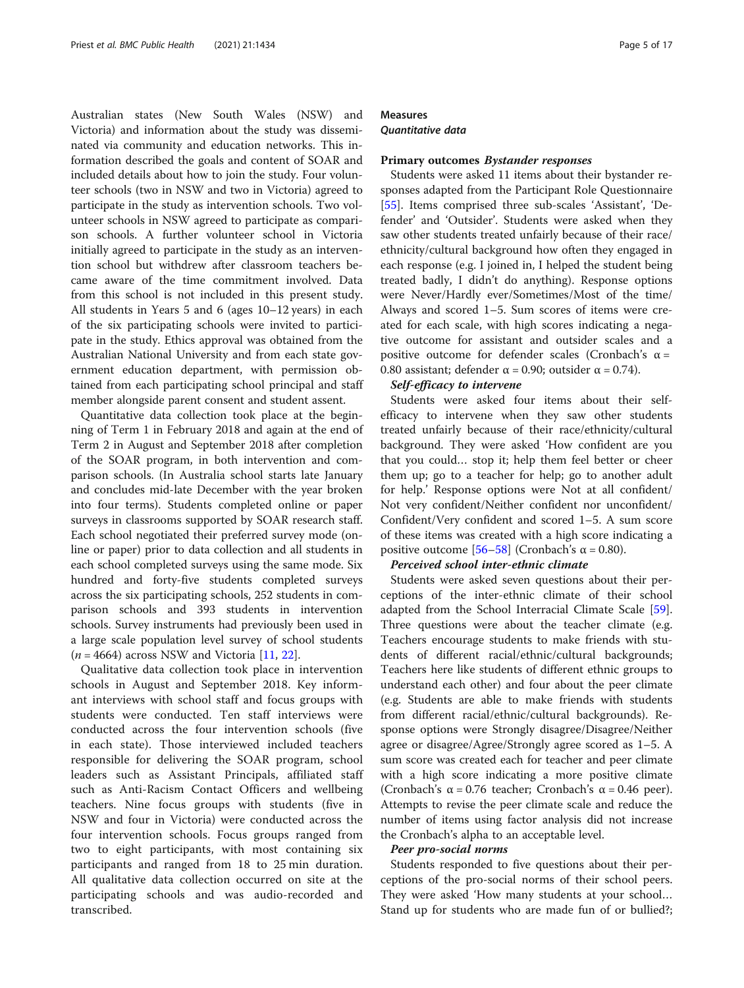Australian states (New South Wales (NSW) and Victoria) and information about the study was disseminated via community and education networks. This information described the goals and content of SOAR and included details about how to join the study. Four volunteer schools (two in NSW and two in Victoria) agreed to participate in the study as intervention schools. Two volunteer schools in NSW agreed to participate as comparison schools. A further volunteer school in Victoria initially agreed to participate in the study as an intervention school but withdrew after classroom teachers became aware of the time commitment involved. Data from this school is not included in this present study. All students in Years 5 and 6 (ages 10–12 years) in each of the six participating schools were invited to participate in the study. Ethics approval was obtained from the Australian National University and from each state government education department, with permission obtained from each participating school principal and staff member alongside parent consent and student assent.

Quantitative data collection took place at the beginning of Term 1 in February 2018 and again at the end of Term 2 in August and September 2018 after completion of the SOAR program, in both intervention and comparison schools. (In Australia school starts late January and concludes mid-late December with the year broken into four terms). Students completed online or paper surveys in classrooms supported by SOAR research staff. Each school negotiated their preferred survey mode (online or paper) prior to data collection and all students in each school completed surveys using the same mode. Six hundred and forty-five students completed surveys across the six participating schools, 252 students in comparison schools and 393 students in intervention schools. Survey instruments had previously been used in a large scale population level survey of school students  $(n = 4664)$  across NSW and Victoria [[11](#page-16-0), [22](#page-16-0)].

Qualitative data collection took place in intervention schools in August and September 2018. Key informant interviews with school staff and focus groups with students were conducted. Ten staff interviews were conducted across the four intervention schools (five in each state). Those interviewed included teachers responsible for delivering the SOAR program, school leaders such as Assistant Principals, affiliated staff such as Anti-Racism Contact Officers and wellbeing teachers. Nine focus groups with students (five in NSW and four in Victoria) were conducted across the four intervention schools. Focus groups ranged from two to eight participants, with most containing six participants and ranged from 18 to 25 min duration. All qualitative data collection occurred on site at the participating schools and was audio-recorded and transcribed.

#### Measures

Quantitative data

#### Primary outcomes Bystander responses

Students were asked 11 items about their bystander responses adapted from the Participant Role Questionnaire [[55\]](#page-17-0). Items comprised three sub-scales 'Assistant', 'Defender' and 'Outsider'. Students were asked when they saw other students treated unfairly because of their race/ ethnicity/cultural background how often they engaged in each response (e.g. I joined in, I helped the student being treated badly, I didn't do anything). Response options were Never/Hardly ever/Sometimes/Most of the time/ Always and scored 1–5. Sum scores of items were created for each scale, with high scores indicating a negative outcome for assistant and outsider scales and a positive outcome for defender scales (Cronbach's  $\alpha$  = 0.80 assistant; defender  $\alpha$  = 0.90; outsider  $\alpha$  = 0.74).

#### Self-efficacy to intervene

Students were asked four items about their selfefficacy to intervene when they saw other students treated unfairly because of their race/ethnicity/cultural background. They were asked 'How confident are you that you could… stop it; help them feel better or cheer them up; go to a teacher for help; go to another adult for help.' Response options were Not at all confident/ Not very confident/Neither confident nor unconfident/ Confident/Very confident and scored 1–5. A sum score of these items was created with a high score indicating a positive outcome [[56](#page-17-0)–[58](#page-17-0)] (Cronbach's α = 0.80).

#### Perceived school inter-ethnic climate

Students were asked seven questions about their perceptions of the inter-ethnic climate of their school adapted from the School Interracial Climate Scale [\[59](#page-17-0)]. Three questions were about the teacher climate (e.g. Teachers encourage students to make friends with students of different racial/ethnic/cultural backgrounds; Teachers here like students of different ethnic groups to understand each other) and four about the peer climate (e.g. Students are able to make friends with students from different racial/ethnic/cultural backgrounds). Response options were Strongly disagree/Disagree/Neither agree or disagree/Agree/Strongly agree scored as 1–5. A sum score was created each for teacher and peer climate with a high score indicating a more positive climate (Cronbach's α = 0.76 teacher; Cronbach's α = 0.46 peer). Attempts to revise the peer climate scale and reduce the number of items using factor analysis did not increase the Cronbach's alpha to an acceptable level.

#### Peer pro-social norms

Students responded to five questions about their perceptions of the pro-social norms of their school peers. They were asked 'How many students at your school… Stand up for students who are made fun of or bullied?;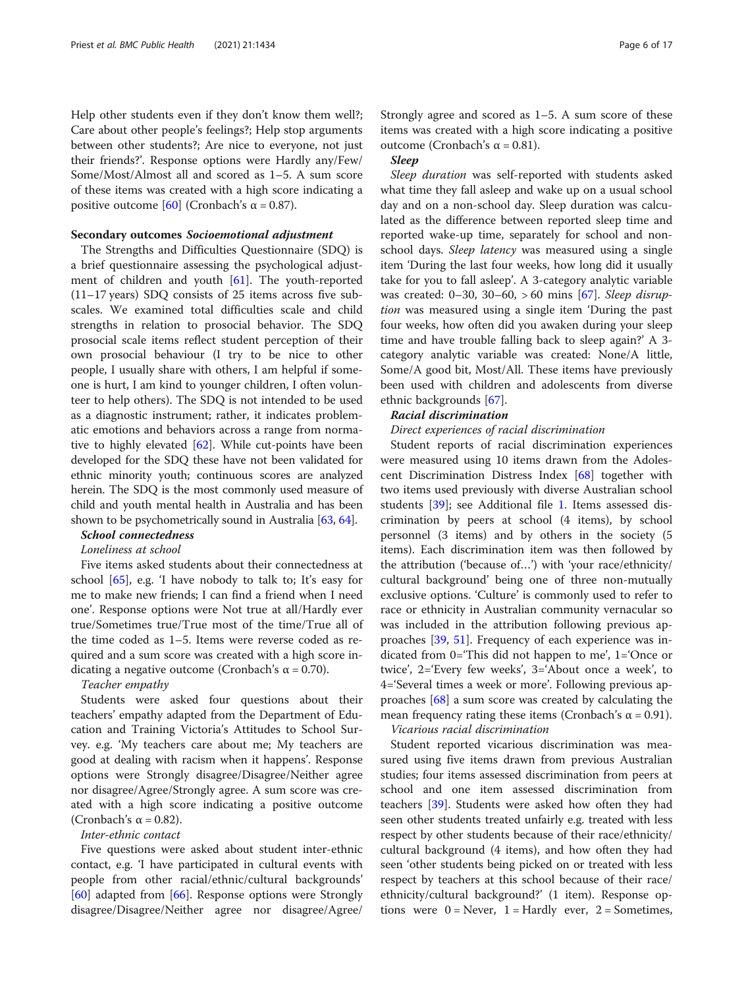Help other students even if they don't know them well?; Care about other people's feelings?; Help stop arguments between other students?; Are nice to everyone, not just their friends?'. Response options were Hardly any/Few/ Some/Most/Almost all and scored as 1–5. A sum score of these items was created with a high score indicating a positive outcome [[60\]](#page-17-0) (Cronbach's α = 0.87).

#### Secondary outcomes Socioemotional adjustment

The Strengths and Difficulties Questionnaire (SDQ) is a brief questionnaire assessing the psychological adjust-ment of children and youth [[61\]](#page-17-0). The youth-reported (11–17 years) SDQ consists of 25 items across five subscales. We examined total difficulties scale and child strengths in relation to prosocial behavior. The SDQ prosocial scale items reflect student perception of their own prosocial behaviour (I try to be nice to other people, I usually share with others, I am helpful if someone is hurt, I am kind to younger children, I often volunteer to help others). The SDQ is not intended to be used as a diagnostic instrument; rather, it indicates problematic emotions and behaviors across a range from normative to highly elevated [\[62](#page-17-0)]. While cut-points have been developed for the SDQ these have not been validated for ethnic minority youth; continuous scores are analyzed herein. The SDQ is the most commonly used measure of child and youth mental health in Australia and has been shown to be psychometrically sound in Australia [\[63,](#page-17-0) [64](#page-17-0)].

# School connectedness

#### Loneliness at school

Five items asked students about their connectedness at school [\[65](#page-17-0)], e.g. 'I have nobody to talk to; It's easy for me to make new friends; I can find a friend when I need one'. Response options were Not true at all/Hardly ever true/Sometimes true/True most of the time/True all of the time coded as 1–5. Items were reverse coded as required and a sum score was created with a high score indicating a negative outcome (Cronbach's  $\alpha$  = 0.70).

#### Teacher empathy

Students were asked four questions about their teachers' empathy adapted from the Department of Education and Training Victoria's Attitudes to School Survey. e.g. 'My teachers care about me; My teachers are good at dealing with racism when it happens'. Response options were Strongly disagree/Disagree/Neither agree nor disagree/Agree/Strongly agree. A sum score was created with a high score indicating a positive outcome (Cronbach's  $\alpha$  = 0.82).

#### Inter-ethnic contact

Five questions were asked about student inter-ethnic contact, e.g. 'I have participated in cultural events with people from other racial/ethnic/cultural backgrounds' [[60\]](#page-17-0) adapted from [[66\]](#page-17-0). Response options were Strongly disagree/Disagree/Neither agree nor disagree/Agree/

Strongly agree and scored as 1–5. A sum score of these items was created with a high score indicating a positive outcome (Cronbach's α = 0.81).

#### Sleep

Sleep duration was self-reported with students asked what time they fall asleep and wake up on a usual school day and on a non-school day. Sleep duration was calculated as the difference between reported sleep time and reported wake-up time, separately for school and nonschool days. Sleep latency was measured using a single item 'During the last four weeks, how long did it usually take for you to fall asleep'. A 3-category analytic variable was created:  $0-30$ ,  $30-60$ ,  $>60$  mins [[67](#page-17-0)]. Sleep disruption was measured using a single item 'During the past four weeks, how often did you awaken during your sleep time and have trouble falling back to sleep again?' A 3 category analytic variable was created: None/A little, Some/A good bit, Most/All. These items have previously been used with children and adolescents from diverse ethnic backgrounds [\[67\]](#page-17-0).

#### Racial discrimination

#### Direct experiences of racial discrimination

Student reports of racial discrimination experiences were measured using 10 items drawn from the Adolescent Discrimination Distress Index [\[68\]](#page-17-0) together with two items used previously with diverse Australian school students [[39](#page-16-0)]; see Additional file [1.](#page-15-0) Items assessed discrimination by peers at school (4 items), by school personnel (3 items) and by others in the society (5 items). Each discrimination item was then followed by the attribution ('because of…') with 'your race/ethnicity/ cultural background' being one of three non-mutually exclusive options. 'Culture' is commonly used to refer to race or ethnicity in Australian community vernacular so was included in the attribution following previous approaches [[39,](#page-16-0) [51](#page-17-0)]. Frequency of each experience was indicated from 0='This did not happen to me', 1='Once or twice', 2='Every few weeks', 3='About once a week', to 4='Several times a week or more'. Following previous approaches [\[68](#page-17-0)] a sum score was created by calculating the mean frequency rating these items (Cronbach's  $\alpha$  = 0.91).

#### Vicarious racial discrimination

Student reported vicarious discrimination was measured using five items drawn from previous Australian studies; four items assessed discrimination from peers at school and one item assessed discrimination from teachers [[39\]](#page-16-0). Students were asked how often they had seen other students treated unfairly e.g. treated with less respect by other students because of their race/ethnicity/ cultural background (4 items), and how often they had seen 'other students being picked on or treated with less respect by teachers at this school because of their race/ ethnicity/cultural background?' (1 item). Response options were  $0 =$  Never,  $1 =$  Hardly ever,  $2 =$  Sometimes,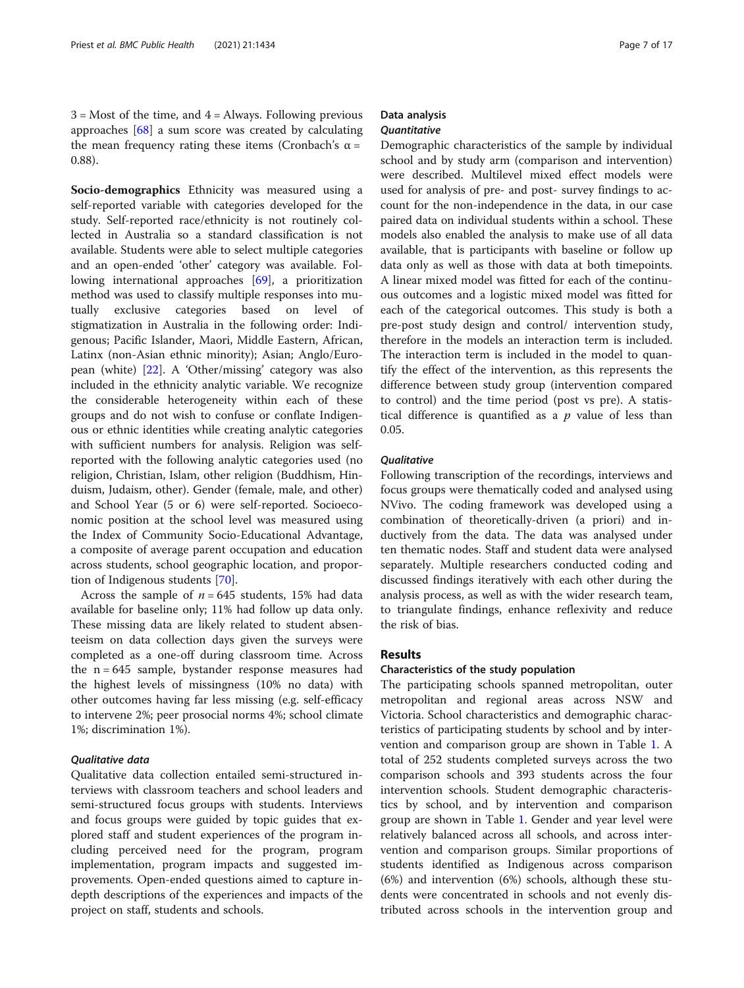$3 =$  Most of the time, and  $4 =$  Always. Following previous approaches  $[68]$  $[68]$  $[68]$  a sum score was created by calculating the mean frequency rating these items (Cronbach's α = 0.88).

Socio-demographics Ethnicity was measured using a self-reported variable with categories developed for the study. Self-reported race/ethnicity is not routinely collected in Australia so a standard classification is not available. Students were able to select multiple categories and an open-ended 'other' category was available. Following international approaches [[69](#page-17-0)], a prioritization method was used to classify multiple responses into mutually exclusive categories based on level of stigmatization in Australia in the following order: Indigenous; Pacific Islander, Maori, Middle Eastern, African, Latinx (non-Asian ethnic minority); Asian; Anglo/European (white) [\[22](#page-16-0)]. A 'Other/missing' category was also included in the ethnicity analytic variable. We recognize the considerable heterogeneity within each of these groups and do not wish to confuse or conflate Indigenous or ethnic identities while creating analytic categories with sufficient numbers for analysis. Religion was selfreported with the following analytic categories used (no religion, Christian, Islam, other religion (Buddhism, Hinduism, Judaism, other). Gender (female, male, and other) and School Year (5 or 6) were self-reported. Socioeconomic position at the school level was measured using the Index of Community Socio-Educational Advantage, a composite of average parent occupation and education across students, school geographic location, and proportion of Indigenous students [\[70](#page-17-0)].

Across the sample of  $n = 645$  students, 15% had data available for baseline only; 11% had follow up data only. These missing data are likely related to student absenteeism on data collection days given the surveys were completed as a one-off during classroom time. Across the  $n = 645$  sample, bystander response measures had the highest levels of missingness (10% no data) with other outcomes having far less missing (e.g. self-efficacy to intervene 2%; peer prosocial norms 4%; school climate 1%; discrimination 1%).

#### Qualitative data

Qualitative data collection entailed semi-structured interviews with classroom teachers and school leaders and semi-structured focus groups with students. Interviews and focus groups were guided by topic guides that explored staff and student experiences of the program including perceived need for the program, program implementation, program impacts and suggested improvements. Open-ended questions aimed to capture indepth descriptions of the experiences and impacts of the project on staff, students and schools.

#### Data analysis **Quantitative**

Demographic characteristics of the sample by individual school and by study arm (comparison and intervention) were described. Multilevel mixed effect models were used for analysis of pre- and post- survey findings to account for the non-independence in the data, in our case paired data on individual students within a school. These models also enabled the analysis to make use of all data available, that is participants with baseline or follow up data only as well as those with data at both timepoints. A linear mixed model was fitted for each of the continuous outcomes and a logistic mixed model was fitted for each of the categorical outcomes. This study is both a pre-post study design and control/ intervention study, therefore in the models an interaction term is included. The interaction term is included in the model to quantify the effect of the intervention, as this represents the difference between study group (intervention compared to control) and the time period (post vs pre). A statistical difference is quantified as a  $p$  value of less than 0.05.

#### **Oualitative**

Following transcription of the recordings, interviews and focus groups were thematically coded and analysed using NVivo. The coding framework was developed using a combination of theoretically-driven (a priori) and inductively from the data. The data was analysed under ten thematic nodes. Staff and student data were analysed separately. Multiple researchers conducted coding and discussed findings iteratively with each other during the analysis process, as well as with the wider research team, to triangulate findings, enhance reflexivity and reduce the risk of bias.

#### Results

#### Characteristics of the study population

The participating schools spanned metropolitan, outer metropolitan and regional areas across NSW and Victoria. School characteristics and demographic characteristics of participating students by school and by intervention and comparison group are shown in Table [1.](#page-8-0) A total of 252 students completed surveys across the two comparison schools and 393 students across the four intervention schools. Student demographic characteristics by school, and by intervention and comparison group are shown in Table [1](#page-8-0). Gender and year level were relatively balanced across all schools, and across intervention and comparison groups. Similar proportions of students identified as Indigenous across comparison (6%) and intervention (6%) schools, although these students were concentrated in schools and not evenly distributed across schools in the intervention group and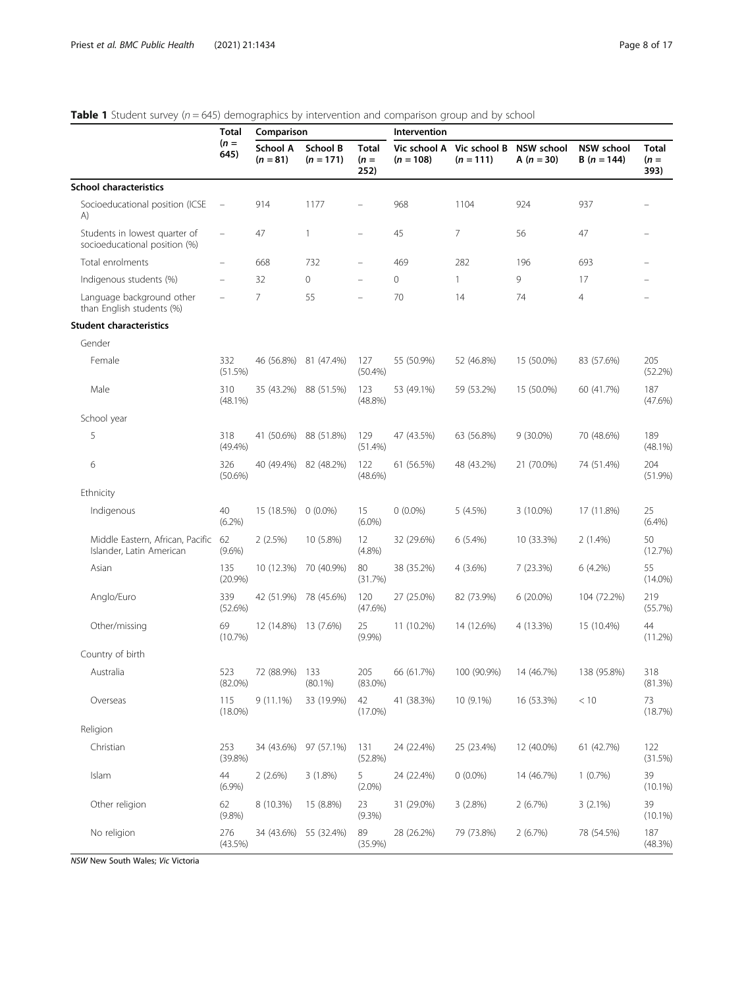#### <span id="page-8-0"></span>**Table 1** Student survey ( $n = 645$ ) demographics by intervention and comparison group and by school

|                                                                | Total             | Comparison             |                         |                          | Intervention                |                             |                                     |                                   |                                |
|----------------------------------------------------------------|-------------------|------------------------|-------------------------|--------------------------|-----------------------------|-----------------------------|-------------------------------------|-----------------------------------|--------------------------------|
|                                                                | $(n =$<br>645)    | School A<br>$(n = 81)$ | School B<br>$(n = 171)$ | Total<br>$(n =$<br>252)  | Vic school A<br>$(n = 108)$ | Vic school B<br>$(n = 111)$ | <b>NSW school</b><br>A ( $n = 30$ ) | <b>NSW school</b><br>$B(n = 144)$ | <b>Total</b><br>$(n =$<br>393) |
| <b>School characteristics</b>                                  |                   |                        |                         |                          |                             |                             |                                     |                                   |                                |
| Socioeducational position (ICSE<br>A)                          | $\qquad \qquad -$ | 914                    | 1177                    |                          | 968                         | 1104                        | 924                                 | 937                               |                                |
| Students in lowest quarter of<br>socioeducational position (%) |                   | 47                     | $\mathbf{1}$            | $\overline{\phantom{0}}$ | 45                          | 7                           | 56                                  | 47                                |                                |
| Total enrolments                                               |                   | 668                    | 732                     |                          | 469                         | 282                         | 196                                 | 693                               |                                |
| Indigenous students (%)                                        |                   | 32                     | 0                       |                          | 0                           | 1                           | 9                                   | 17                                |                                |
| Language background other<br>than English students (%)         |                   | $\overline{7}$         | 55                      |                          | 70                          | 14                          | 74                                  | $\overline{4}$                    |                                |
| <b>Student characteristics</b>                                 |                   |                        |                         |                          |                             |                             |                                     |                                   |                                |
| Gender                                                         |                   |                        |                         |                          |                             |                             |                                     |                                   |                                |
| Female                                                         | 332<br>(51.5%)    | 46 (56.8%)             | 81 (47.4%)              | 127<br>(50.4%)           | 55 (50.9%)                  | 52 (46.8%)                  | 15 (50.0%)                          | 83 (57.6%)                        | 205<br>(52.2%)                 |
| Male                                                           | 310<br>$(48.1\%)$ | 35 (43.2%)             | 88 (51.5%)              | 123<br>$(48.8\%)$        | 53 (49.1%)                  | 59 (53.2%)                  | 15 (50.0%)                          | 60 (41.7%)                        | 187<br>(47.6%)                 |
| School year                                                    |                   |                        |                         |                          |                             |                             |                                     |                                   |                                |
| 5                                                              | 318<br>$(49.4\%)$ | 41 (50.6%)             | 88 (51.8%)              | 129<br>(51.4%)           | 47 (43.5%)                  | 63 (56.8%)                  | $9(30.0\%)$                         | 70 (48.6%)                        | 189<br>$(48.1\%)$              |
| 6                                                              | 326<br>$(50.6\%)$ | 40 (49.4%)             | 82 (48.2%)              | 122<br>$(48.6\%)$        | 61 (56.5%)                  | 48 (43.2%)                  | 21 (70.0%)                          | 74 (51.4%)                        | 204<br>(51.9%)                 |
| Ethnicity                                                      |                   |                        |                         |                          |                             |                             |                                     |                                   |                                |
| Indigenous                                                     | 40<br>$(6.2\%)$   | 15 (18.5%)             | $0(0.0\%)$              | 15<br>$(6.0\%)$          | $0(0.0\%)$                  | 5 (4.5%)                    | 3 (10.0%)                           | 17 (11.8%)                        | 25<br>$(6.4\%)$                |
| Middle Eastern, African, Pacific<br>Islander, Latin American   | 62<br>$(9.6\%)$   | 2(2.5%)                | 10 (5.8%)               | 12<br>(4.8%)             | 32 (29.6%)                  | 6(5.4%)                     | 10 (33.3%)                          | $2(1.4\%)$                        | 50<br>(12.7%)                  |
| Asian                                                          | 135<br>(20.9%)    | 10 (12.3%)             | 70 (40.9%)              | 80<br>(31.7%)            | 38 (35.2%)                  | 4(3.6%)                     | 7 (23.3%)                           | 6 (4.2%)                          | 55<br>$(14.0\%)$               |
| Anglo/Euro                                                     | 339<br>(52.6%)    | 42 (51.9%)             | 78 (45.6%)              | 120<br>(47.6%)           | 27 (25.0%)                  | 82 (73.9%)                  | 6 (20.0%)                           | 104 (72.2%)                       | 219<br>(55.7%)                 |
| Other/missing                                                  | 69<br>(10.7%)     | 12 (14.8%)             | 13 (7.6%)               | 25<br>(9.9%)             | 11 (10.2%)                  | 14 (12.6%)                  | 4 (13.3%)                           | 15 (10.4%)                        | 44<br>(11.2%)                  |
| Country of birth                                               |                   |                        |                         |                          |                             |                             |                                     |                                   |                                |
| Australia                                                      | 523<br>$(82.0\%)$ | 72 (88.9%)             | 133<br>$(80.1\%)$       | 205<br>$(83.0\%)$        | 66 (61.7%)                  | 100 (90.9%)                 | 14 (46.7%)                          | 138 (95.8%)                       | 318<br>(81.3%)                 |
| Overseas                                                       | 115<br>$(18.0\%)$ | $9(11.1\%)$            | 33 (19.9%)              | 42<br>$(17.0\%)$         | 41 (38.3%)                  | 10 (9.1%)                   | 16 (53.3%)                          | < 10                              | 73<br>(18.7%)                  |
| Religion                                                       |                   |                        |                         |                          |                             |                             |                                     |                                   |                                |
| Christian                                                      | 253<br>(39.8%)    | 34 (43.6%)             | 97 (57.1%)              | 131<br>(52.8%)           | 24 (22.4%)                  | 25 (23.4%)                  | 12 (40.0%)                          | 61 (42.7%)                        | 122<br>(31.5%)                 |
| Islam                                                          | 44<br>(6.9%)      | 2(2.6%)                | 3 (1.8%)                | 5<br>$(2.0\%)$           | 24 (22.4%)                  | $0(0.0\%)$                  | 14 (46.7%)                          | 1(0.7%)                           | 39<br>$(10.1\%)$               |
| Other religion                                                 | 62<br>(9.8%)      | 8 (10.3%)              | 15 (8.8%)               | 23<br>(9.3%)             | 31 (29.0%)                  | 3(2.8%)                     | 2(6.7%)                             | $3(2.1\%)$                        | 39<br>$(10.1\%)$               |
| No religion                                                    | 276<br>(43.5%)    | 34 (43.6%)             | 55 (32.4%)              | 89<br>(35.9%)            | 28 (26.2%)                  | 79 (73.8%)                  | 2(6.7%)                             | 78 (54.5%)                        | 187<br>(48.3%)                 |

NSW New South Wales; Vic Victoria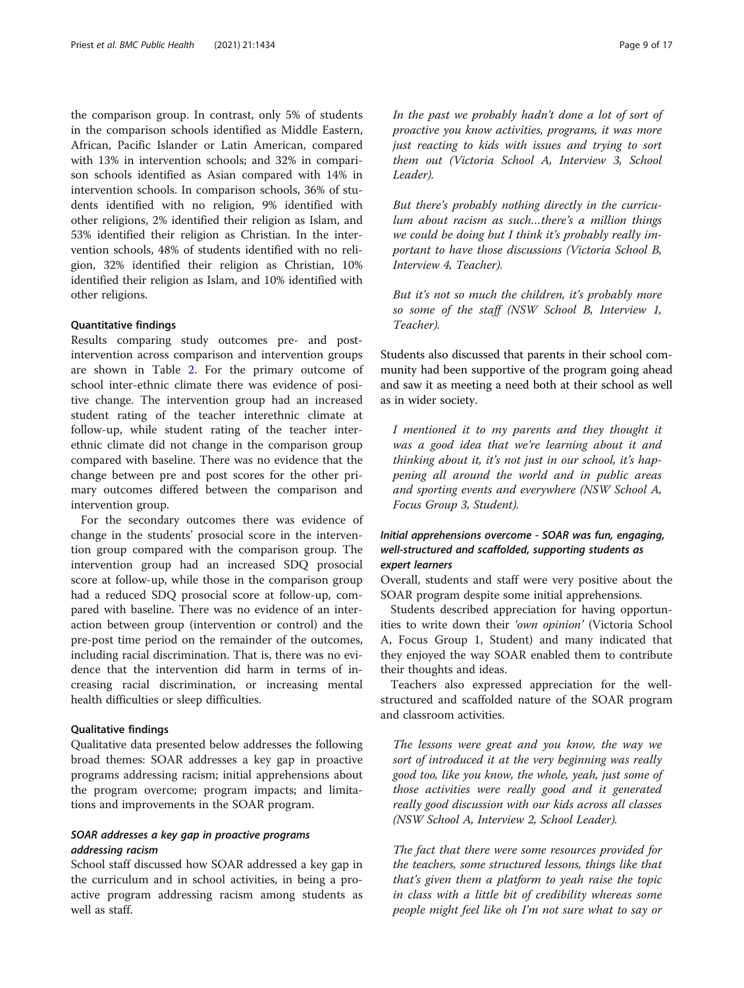the comparison group. In contrast, only 5% of students in the comparison schools identified as Middle Eastern, African, Pacific Islander or Latin American, compared with 13% in intervention schools; and 32% in comparison schools identified as Asian compared with 14% in intervention schools. In comparison schools, 36% of students identified with no religion, 9% identified with other religions, 2% identified their religion as Islam, and 53% identified their religion as Christian. In the intervention schools, 48% of students identified with no religion, 32% identified their religion as Christian, 10% identified their religion as Islam, and 10% identified with other religions.

#### Quantitative findings

Results comparing study outcomes pre- and postintervention across comparison and intervention groups are shown in Table [2.](#page-10-0) For the primary outcome of school inter-ethnic climate there was evidence of positive change. The intervention group had an increased student rating of the teacher interethnic climate at follow-up, while student rating of the teacher interethnic climate did not change in the comparison group compared with baseline. There was no evidence that the change between pre and post scores for the other primary outcomes differed between the comparison and intervention group.

For the secondary outcomes there was evidence of change in the students' prosocial score in the intervention group compared with the comparison group. The intervention group had an increased SDQ prosocial score at follow-up, while those in the comparison group had a reduced SDQ prosocial score at follow-up, compared with baseline. There was no evidence of an interaction between group (intervention or control) and the pre-post time period on the remainder of the outcomes, including racial discrimination. That is, there was no evidence that the intervention did harm in terms of increasing racial discrimination, or increasing mental health difficulties or sleep difficulties.

#### Qualitative findings

Qualitative data presented below addresses the following broad themes: SOAR addresses a key gap in proactive programs addressing racism; initial apprehensions about the program overcome; program impacts; and limitations and improvements in the SOAR program.

#### SOAR addresses a key gap in proactive programs addressing racism

School staff discussed how SOAR addressed a key gap in the curriculum and in school activities, in being a proactive program addressing racism among students as well as staff.

In the past we probably hadn't done a lot of sort of proactive you know activities, programs, it was more just reacting to kids with issues and trying to sort them out (Victoria School A, Interview 3, School Leader).

But there's probably nothing directly in the curriculum about racism as such…there's a million things we could be doing but I think it's probably really important to have those discussions (Victoria School B, Interview 4, Teacher).

But it's not so much the children, it's probably more so some of the staff (NSW School B, Interview 1, Teacher).

Students also discussed that parents in their school community had been supportive of the program going ahead and saw it as meeting a need both at their school as well as in wider society.

I mentioned it to my parents and they thought it was a good idea that we're learning about it and thinking about it, it's not just in our school, it's happening all around the world and in public areas and sporting events and everywhere (NSW School A, Focus Group 3, Student).

#### Initial apprehensions overcome - SOAR was fun, engaging, well-structured and scaffolded, supporting students as expert learners

Overall, students and staff were very positive about the SOAR program despite some initial apprehensions.

Students described appreciation for having opportunities to write down their 'own opinion' (Victoria School A, Focus Group 1, Student) and many indicated that they enjoyed the way SOAR enabled them to contribute their thoughts and ideas.

Teachers also expressed appreciation for the wellstructured and scaffolded nature of the SOAR program and classroom activities.

The lessons were great and you know, the way we sort of introduced it at the very beginning was really good too, like you know, the whole, yeah, just some of those activities were really good and it generated really good discussion with our kids across all classes (NSW School A, Interview 2, School Leader).

The fact that there were some resources provided for the teachers, some structured lessons, things like that that's given them a platform to yeah raise the topic in class with a little bit of credibility whereas some people might feel like oh I'm not sure what to say or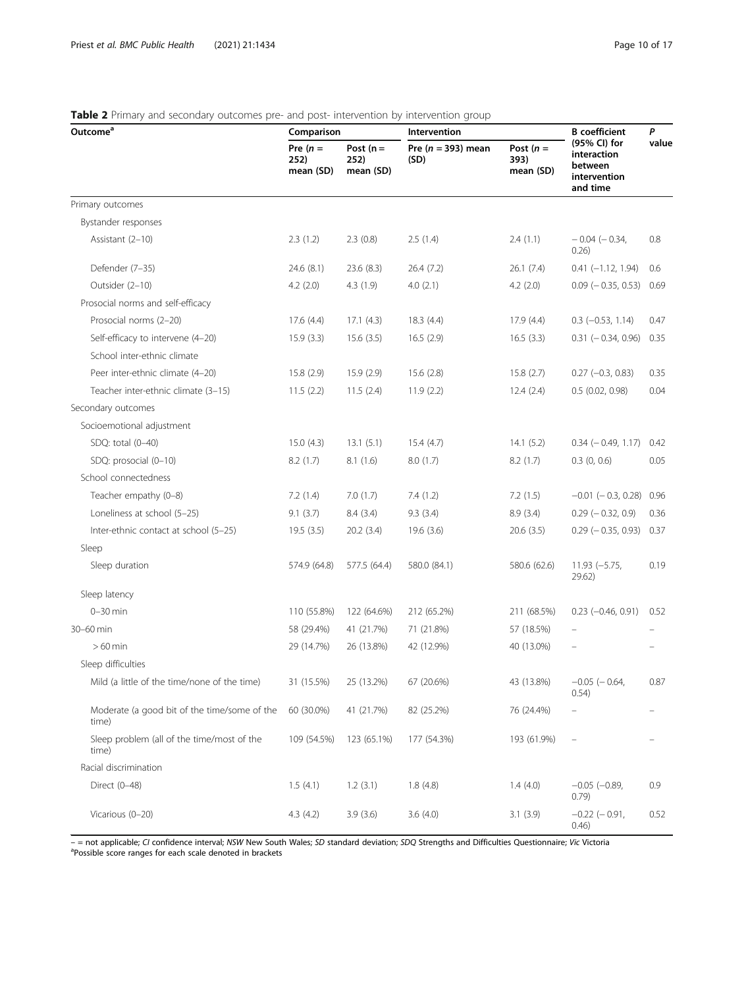| Outcome <sup>a</sup>                                  | Comparison                      |                                  | Intervention                   | <b>B</b> coefficient             | P                                                                  |       |
|-------------------------------------------------------|---------------------------------|----------------------------------|--------------------------------|----------------------------------|--------------------------------------------------------------------|-------|
|                                                       | Pre $(n =$<br>252)<br>mean (SD) | Post $(n =$<br>252)<br>mean (SD) | Pre ( $n = 393$ ) mean<br>(SD) | Post $(n =$<br>393)<br>mean (SD) | (95% CI) for<br>interaction<br>between<br>intervention<br>and time | value |
| Primary outcomes                                      |                                 |                                  |                                |                                  |                                                                    |       |
| Bystander responses                                   |                                 |                                  |                                |                                  |                                                                    |       |
| Assistant (2-10)                                      | 2.3(1.2)                        | 2.3(0.8)                         | 2.5(1.4)                       | 2.4(1.1)                         | $-0.04$ ( $-0.34$ )<br>0.26)                                       | 0.8   |
| Defender (7-35)                                       | 24.6(8.1)                       | 23.6(8.3)                        | 26.4(7.2)                      | 26.1(7.4)                        | $0.41 (-1.12, 1.94)$                                               | 0.6   |
| Outsider (2-10)                                       | 4.2(2.0)                        | 4.3(1.9)                         | 4.0(2.1)                       | 4.2(2.0)                         | $0.09$ ( $-0.35$ , 0.53)                                           | 0.69  |
| Prosocial norms and self-efficacy                     |                                 |                                  |                                |                                  |                                                                    |       |
| Prosocial norms (2-20)                                | 17.6(4.4)                       | 17.1(4.3)                        | 18.3(4.4)                      | 17.9(4.4)                        | $0.3$ ( $-0.53$ , 1.14)                                            | 0.47  |
| Self-efficacy to intervene (4-20)                     | 15.9(3.3)                       | 15.6(3.5)                        | 16.5(2.9)                      | 16.5(3.3)                        | $0.31 (-0.34, 0.96)$                                               | 0.35  |
| School inter-ethnic climate                           |                                 |                                  |                                |                                  |                                                                    |       |
| Peer inter-ethnic climate (4-20)                      | 15.8(2.9)                       | 15.9(2.9)                        | 15.6(2.8)                      | 15.8(2.7)                        | $0.27 (-0.3, 0.83)$                                                | 0.35  |
| Teacher inter-ethnic climate (3-15)                   | 11.5(2.2)                       | 11.5(2.4)                        | 11.9(2.2)                      | 12.4(2.4)                        | 0.5(0.02, 0.98)                                                    | 0.04  |
| Secondary outcomes                                    |                                 |                                  |                                |                                  |                                                                    |       |
| Socioemotional adjustment                             |                                 |                                  |                                |                                  |                                                                    |       |
| SDQ: total (0-40)                                     | 15.0(4.3)                       | 13.1(5.1)                        | 15.4(4.7)                      | 14.1(5.2)                        | $0.34 (-0.49, 1.17)$                                               | 0.42  |
| SDQ: prosocial (0-10)                                 | 8.2(1.7)                        | 8.1(1.6)                         | 8.0 (1.7)                      | 8.2(1.7)                         | $0.3$ $(0, 0.6)$                                                   | 0.05  |
| School connectedness                                  |                                 |                                  |                                |                                  |                                                                    |       |
| Teacher empathy (0-8)                                 | 7.2(1.4)                        | 7.0(1.7)                         | 7.4(1.2)                       | 7.2(1.5)                         | $-0.01$ ( $-0.3$ , 0.28)                                           | 0.96  |
| Loneliness at school (5-25)                           | 9.1(3.7)                        | 8.4(3.4)                         | 9.3(3.4)                       | 8.9(3.4)                         | $0.29$ ( $-0.32$ , 0.9)                                            | 0.36  |
| Inter-ethnic contact at school (5-25)                 | 19.5(3.5)                       | 20.2(3.4)                        | 19.6(3.6)                      | 20.6(3.5)                        | $0.29$ ( $-0.35$ , 0.93) 0.37                                      |       |
| Sleep                                                 |                                 |                                  |                                |                                  |                                                                    |       |
| Sleep duration                                        | 574.9 (64.8)                    | 577.5 (64.4)                     | 580.0 (84.1)                   | 580.6 (62.6)                     | $11.93 (-5.75,$<br>29.62)                                          | 0.19  |
| Sleep latency                                         |                                 |                                  |                                |                                  |                                                                    |       |
| $0-30$ min                                            | 110 (55.8%)                     | 122 (64.6%)                      | 212 (65.2%)                    | 211 (68.5%)                      | $0.23$ ( $-0.46$ , $0.91$ )                                        | 0.52  |
| 30-60 min                                             | 58 (29.4%)                      | 41 (21.7%)                       | 71 (21.8%)                     | 57 (18.5%)                       |                                                                    |       |
| $>60$ min                                             | 29 (14.7%)                      | 26 (13.8%)                       | 42 (12.9%)                     | 40 (13.0%)                       |                                                                    |       |
| Sleep difficulties                                    |                                 |                                  |                                |                                  |                                                                    |       |
| Mild (a little of the time/none of the time)          | 31 (15.5%)                      | 25 (13.2%)                       | 67 (20.6%)                     | 43 (13.8%)                       | $-0.05$ ( $-0.64$ ,<br>(0.54)                                      | 0.87  |
| Moderate (a good bit of the time/some of the<br>time) | 60 (30.0%)                      | 41 (21.7%)                       | 82 (25.2%)                     | 76 (24.4%)                       |                                                                    |       |
| Sleep problem (all of the time/most of the<br>time)   | 109 (54.5%)                     | 123 (65.1%)                      | 177 (54.3%)                    | 193 (61.9%)                      |                                                                    |       |
| Racial discrimination                                 |                                 |                                  |                                |                                  |                                                                    |       |
| Direct (0-48)                                         | 1.5(4.1)                        | 1.2(3.1)                         | 1.8(4.8)                       | 1.4(4.0)                         | $-0.05$ ( $-0.89$ )<br>0.79)                                       | 0.9   |
| Vicarious (0-20)                                      | 4.3(4.2)                        | 3.9(3.6)                         | 3.6(4.0)                       | 3.1(3.9)                         | $-0.22$ ( $-0.91$ )<br>0.46)                                       | 0.52  |

#### <span id="page-10-0"></span>Table 2 Primary and secondary outcomes pre- and post- intervention by intervention group

- = not applicable; CI confidence interval; NSW New South Wales; SD standard deviation; SDQ Strengths and Difficulties Questionnaire; Vic Victoria <sup>a</sup>Possible score ranges for each scale denoted in brackets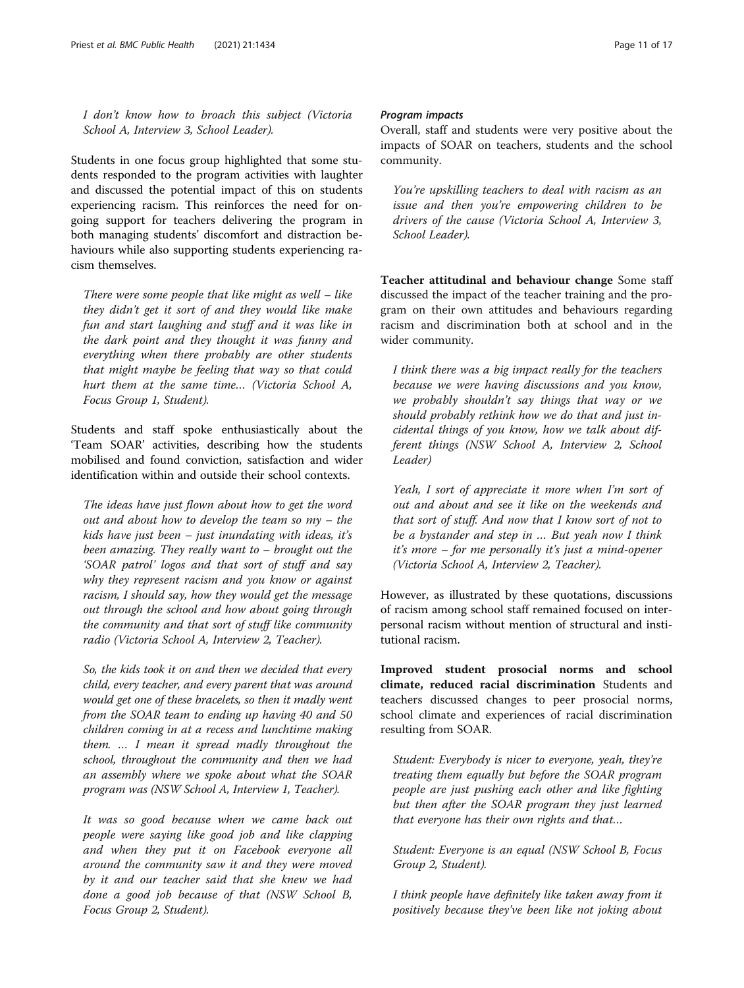I don't know how to broach this subject (Victoria School A, Interview 3, School Leader).

Students in one focus group highlighted that some students responded to the program activities with laughter and discussed the potential impact of this on students experiencing racism. This reinforces the need for ongoing support for teachers delivering the program in both managing students' discomfort and distraction behaviours while also supporting students experiencing racism themselves.

There were some people that like might as well – like they didn't get it sort of and they would like make fun and start laughing and stuff and it was like in the dark point and they thought it was funny and everything when there probably are other students that might maybe be feeling that way so that could hurt them at the same time… (Victoria School A, Focus Group 1, Student).

Students and staff spoke enthusiastically about the 'Team SOAR' activities, describing how the students mobilised and found conviction, satisfaction and wider identification within and outside their school contexts.

The ideas have just flown about how to get the word out and about how to develop the team so my – the kids have just been  $-$  just inundating with ideas, it's been amazing. They really want to – brought out the 'SOAR patrol' logos and that sort of stuff and say why they represent racism and you know or against racism, I should say, how they would get the message out through the school and how about going through the community and that sort of stuff like community radio (Victoria School A, Interview 2, Teacher).

So, the kids took it on and then we decided that every child, every teacher, and every parent that was around would get one of these bracelets, so then it madly went from the SOAR team to ending up having 40 and 50 children coming in at a recess and lunchtime making them. … I mean it spread madly throughout the school, throughout the community and then we had an assembly where we spoke about what the SOAR program was (NSW School A, Interview 1, Teacher).

It was so good because when we came back out people were saying like good job and like clapping and when they put it on Facebook everyone all around the community saw it and they were moved by it and our teacher said that she knew we had done a good job because of that (NSW School B, Focus Group 2, Student).

#### Program impacts

Overall, staff and students were very positive about the impacts of SOAR on teachers, students and the school community.

You're upskilling teachers to deal with racism as an issue and then you're empowering children to be drivers of the cause (Victoria School A, Interview 3, School Leader).

Teacher attitudinal and behaviour change Some staff discussed the impact of the teacher training and the program on their own attitudes and behaviours regarding racism and discrimination both at school and in the wider community.

I think there was a big impact really for the teachers because we were having discussions and you know, we probably shouldn't say things that way or we should probably rethink how we do that and just incidental things of you know, how we talk about different things (NSW School A, Interview 2, School Leader)

Yeah, I sort of appreciate it more when I'm sort of out and about and see it like on the weekends and that sort of stuff. And now that I know sort of not to be a bystander and step in … But yeah now I think it's more – for me personally it's just a mind-opener (Victoria School A, Interview 2, Teacher).

However, as illustrated by these quotations, discussions of racism among school staff remained focused on interpersonal racism without mention of structural and institutional racism.

Improved student prosocial norms and school climate, reduced racial discrimination Students and teachers discussed changes to peer prosocial norms, school climate and experiences of racial discrimination resulting from SOAR.

Student: Everybody is nicer to everyone, yeah, they're treating them equally but before the SOAR program people are just pushing each other and like fighting but then after the SOAR program they just learned that everyone has their own rights and that…

Student: Everyone is an equal (NSW School B, Focus Group 2, Student).

I think people have definitely like taken away from it positively because they've been like not joking about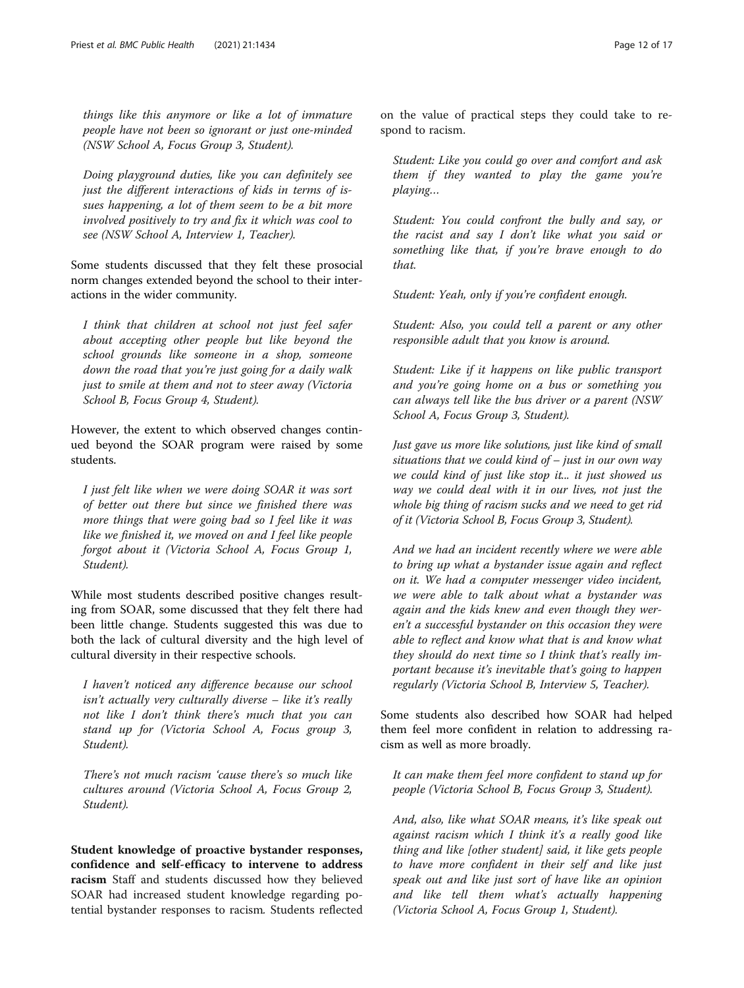things like this anymore or like a lot of immature people have not been so ignorant or just one-minded (NSW School A, Focus Group 3, Student).

Doing playground duties, like you can definitely see just the different interactions of kids in terms of issues happening, a lot of them seem to be a bit more involved positively to try and fix it which was cool to see (NSW School A, Interview 1, Teacher).

Some students discussed that they felt these prosocial norm changes extended beyond the school to their interactions in the wider community.

I think that children at school not just feel safer about accepting other people but like beyond the school grounds like someone in a shop, someone down the road that you're just going for a daily walk just to smile at them and not to steer away (Victoria School B, Focus Group 4, Student).

However, the extent to which observed changes continued beyond the SOAR program were raised by some students.

I just felt like when we were doing SOAR it was sort of better out there but since we finished there was more things that were going bad so I feel like it was like we finished it, we moved on and I feel like people forgot about it (Victoria School A, Focus Group 1, Student).

While most students described positive changes resulting from SOAR, some discussed that they felt there had been little change. Students suggested this was due to both the lack of cultural diversity and the high level of cultural diversity in their respective schools.

I haven't noticed any difference because our school isn't actually very culturally diverse – like it's really not like I don't think there's much that you can stand up for (Victoria School A, Focus group 3, Student).

There's not much racism 'cause there's so much like cultures around (Victoria School A, Focus Group 2, Student).

Student knowledge of proactive bystander responses, confidence and self-efficacy to intervene to address racism Staff and students discussed how they believed SOAR had increased student knowledge regarding potential bystander responses to racism. Students reflected

on the value of practical steps they could take to respond to racism.

Student: Like you could go over and comfort and ask them if they wanted to play the game you're playing…

Student: You could confront the bully and say, or the racist and say I don't like what you said or something like that, if you're brave enough to do that.

Student: Yeah, only if you're confident enough.

Student: Also, you could tell a parent or any other responsible adult that you know is around.

Student: Like if it happens on like public transport and you're going home on a bus or something you can always tell like the bus driver or a parent (NSW School A, Focus Group 3, Student).

Just gave us more like solutions, just like kind of small situations that we could kind of – just in our own way we could kind of just like stop it... it just showed us way we could deal with it in our lives, not just the whole big thing of racism sucks and we need to get rid of it (Victoria School B, Focus Group 3, Student).

And we had an incident recently where we were able to bring up what a bystander issue again and reflect on it. We had a computer messenger video incident, we were able to talk about what a bystander was again and the kids knew and even though they weren't a successful bystander on this occasion they were able to reflect and know what that is and know what they should do next time so I think that's really important because it's inevitable that's going to happen regularly (Victoria School B, Interview 5, Teacher).

Some students also described how SOAR had helped them feel more confident in relation to addressing racism as well as more broadly.

It can make them feel more confident to stand up for people (Victoria School B, Focus Group 3, Student).

And, also, like what SOAR means, it's like speak out against racism which I think it's a really good like thing and like [other student] said, it like gets people to have more confident in their self and like just speak out and like just sort of have like an opinion and like tell them what's actually happening (Victoria School A, Focus Group 1, Student).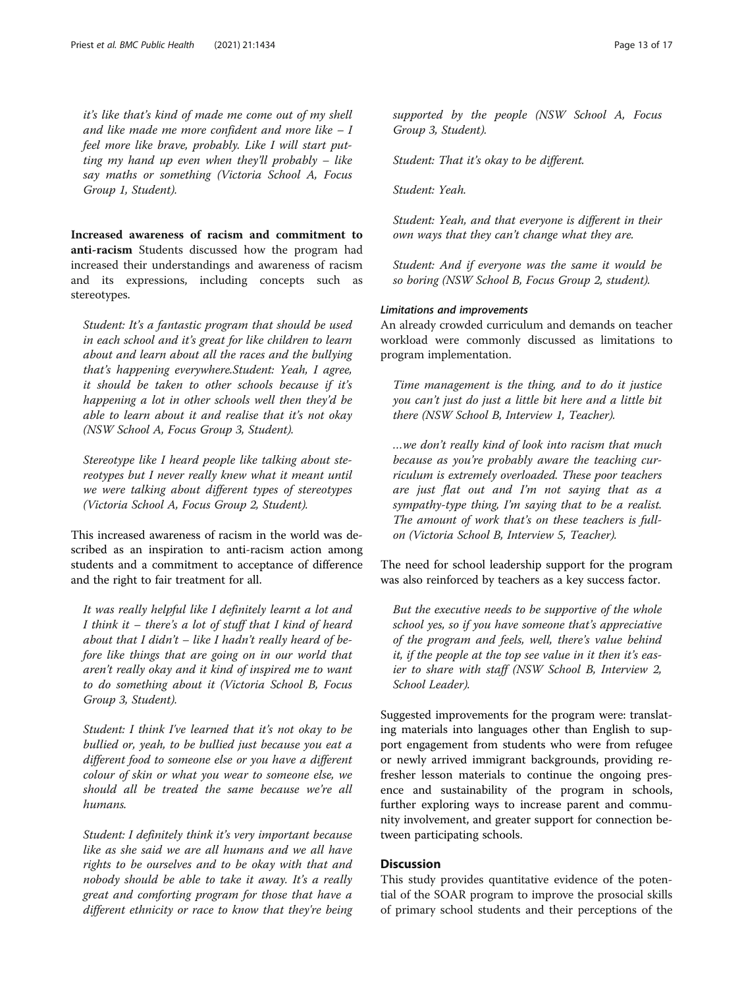it's like that's kind of made me come out of my shell and like made me more confident and more like  $-I$ feel more like brave, probably. Like I will start putting my hand up even when they'll probably – like say maths or something (Victoria School A, Focus Group 1, Student).

Increased awareness of racism and commitment to anti-racism Students discussed how the program had increased their understandings and awareness of racism and its expressions, including concepts such as stereotypes.

Student: It's a fantastic program that should be used in each school and it's great for like children to learn about and learn about all the races and the bullying that's happening everywhere.Student: Yeah, I agree, it should be taken to other schools because if it's happening a lot in other schools well then they'd be able to learn about it and realise that it's not okay (NSW School A, Focus Group 3, Student).

Stereotype like I heard people like talking about stereotypes but I never really knew what it meant until we were talking about different types of stereotypes (Victoria School A, Focus Group 2, Student).

This increased awareness of racism in the world was described as an inspiration to anti-racism action among students and a commitment to acceptance of difference and the right to fair treatment for all.

It was really helpful like I definitely learnt a lot and I think it – there's a lot of stuff that I kind of heard about that I didn't  $-$  like I hadn't really heard of before like things that are going on in our world that aren't really okay and it kind of inspired me to want to do something about it (Victoria School B, Focus Group 3, Student).

Student: I think I've learned that it's not okay to be bullied or, yeah, to be bullied just because you eat a different food to someone else or you have a different colour of skin or what you wear to someone else, we should all be treated the same because we're all humans.

Student: I definitely think it's very important because like as she said we are all humans and we all have rights to be ourselves and to be okay with that and nobody should be able to take it away. It's a really great and comforting program for those that have a different ethnicity or race to know that they're being supported by the people (NSW School A, Focus Group 3, Student).

Student: That it's okay to be different.

Student: Yeah.

Student: Yeah, and that everyone is different in their own ways that they can't change what they are.

Student: And if everyone was the same it would be so boring (NSW School B, Focus Group 2, student).

#### Limitations and improvements

An already crowded curriculum and demands on teacher workload were commonly discussed as limitations to program implementation.

Time management is the thing, and to do it justice you can't just do just a little bit here and a little bit there (NSW School B, Interview 1, Teacher).

…we don't really kind of look into racism that much because as you're probably aware the teaching curriculum is extremely overloaded. These poor teachers are just flat out and I'm not saying that as a sympathy-type thing, I'm saying that to be a realist. The amount of work that's on these teachers is fullon (Victoria School B, Interview 5, Teacher).

The need for school leadership support for the program was also reinforced by teachers as a key success factor.

But the executive needs to be supportive of the whole school yes, so if you have someone that's appreciative of the program and feels, well, there's value behind it, if the people at the top see value in it then it's easier to share with staff (NSW School B, Interview 2, School Leader).

Suggested improvements for the program were: translating materials into languages other than English to support engagement from students who were from refugee or newly arrived immigrant backgrounds, providing refresher lesson materials to continue the ongoing presence and sustainability of the program in schools, further exploring ways to increase parent and community involvement, and greater support for connection between participating schools.

#### **Discussion**

This study provides quantitative evidence of the potential of the SOAR program to improve the prosocial skills of primary school students and their perceptions of the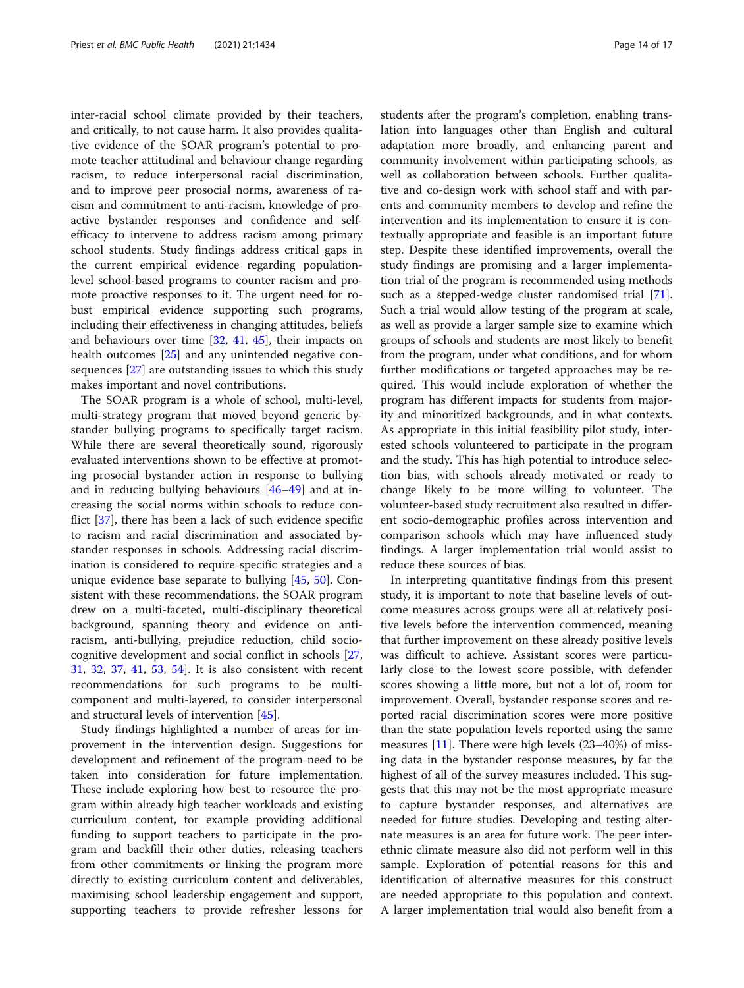inter-racial school climate provided by their teachers, and critically, to not cause harm. It also provides qualitative evidence of the SOAR program's potential to promote teacher attitudinal and behaviour change regarding racism, to reduce interpersonal racial discrimination, and to improve peer prosocial norms, awareness of racism and commitment to anti-racism, knowledge of proactive bystander responses and confidence and selfefficacy to intervene to address racism among primary school students. Study findings address critical gaps in the current empirical evidence regarding populationlevel school-based programs to counter racism and promote proactive responses to it. The urgent need for robust empirical evidence supporting such programs, including their effectiveness in changing attitudes, beliefs and behaviours over time [[32](#page-16-0), [41](#page-17-0), [45](#page-17-0)], their impacts on health outcomes [[25\]](#page-16-0) and any unintended negative consequences [[27\]](#page-16-0) are outstanding issues to which this study makes important and novel contributions.

The SOAR program is a whole of school, multi-level, multi-strategy program that moved beyond generic bystander bullying programs to specifically target racism. While there are several theoretically sound, rigorously evaluated interventions shown to be effective at promoting prosocial bystander action in response to bullying and in reducing bullying behaviours [[46](#page-17-0)–[49](#page-17-0)] and at increasing the social norms within schools to reduce conflict [[37\]](#page-16-0), there has been a lack of such evidence specific to racism and racial discrimination and associated bystander responses in schools. Addressing racial discrimination is considered to require specific strategies and a unique evidence base separate to bullying [[45,](#page-17-0) [50](#page-17-0)]. Consistent with these recommendations, the SOAR program drew on a multi-faceted, multi-disciplinary theoretical background, spanning theory and evidence on antiracism, anti-bullying, prejudice reduction, child sociocognitive development and social conflict in schools [[27](#page-16-0), [31,](#page-16-0) [32,](#page-16-0) [37,](#page-16-0) [41,](#page-17-0) [53,](#page-17-0) [54](#page-17-0)]. It is also consistent with recent recommendations for such programs to be multicomponent and multi-layered, to consider interpersonal and structural levels of intervention [\[45\]](#page-17-0).

Study findings highlighted a number of areas for improvement in the intervention design. Suggestions for development and refinement of the program need to be taken into consideration for future implementation. These include exploring how best to resource the program within already high teacher workloads and existing curriculum content, for example providing additional funding to support teachers to participate in the program and backfill their other duties, releasing teachers from other commitments or linking the program more directly to existing curriculum content and deliverables, maximising school leadership engagement and support, supporting teachers to provide refresher lessons for students after the program's completion, enabling translation into languages other than English and cultural adaptation more broadly, and enhancing parent and community involvement within participating schools, as well as collaboration between schools. Further qualitative and co-design work with school staff and with parents and community members to develop and refine the intervention and its implementation to ensure it is contextually appropriate and feasible is an important future step. Despite these identified improvements, overall the study findings are promising and a larger implementation trial of the program is recommended using methods such as a stepped-wedge cluster randomised trial [\[71](#page-17-0)]. Such a trial would allow testing of the program at scale, as well as provide a larger sample size to examine which groups of schools and students are most likely to benefit from the program, under what conditions, and for whom further modifications or targeted approaches may be required. This would include exploration of whether the program has different impacts for students from majority and minoritized backgrounds, and in what contexts. As appropriate in this initial feasibility pilot study, interested schools volunteered to participate in the program and the study. This has high potential to introduce selection bias, with schools already motivated or ready to change likely to be more willing to volunteer. The volunteer-based study recruitment also resulted in different socio-demographic profiles across intervention and comparison schools which may have influenced study findings. A larger implementation trial would assist to reduce these sources of bias.

In interpreting quantitative findings from this present study, it is important to note that baseline levels of outcome measures across groups were all at relatively positive levels before the intervention commenced, meaning that further improvement on these already positive levels was difficult to achieve. Assistant scores were particularly close to the lowest score possible, with defender scores showing a little more, but not a lot of, room for improvement. Overall, bystander response scores and reported racial discrimination scores were more positive than the state population levels reported using the same measures [[11\]](#page-16-0). There were high levels (23–40%) of missing data in the bystander response measures, by far the highest of all of the survey measures included. This suggests that this may not be the most appropriate measure to capture bystander responses, and alternatives are needed for future studies. Developing and testing alternate measures is an area for future work. The peer interethnic climate measure also did not perform well in this sample. Exploration of potential reasons for this and identification of alternative measures for this construct are needed appropriate to this population and context. A larger implementation trial would also benefit from a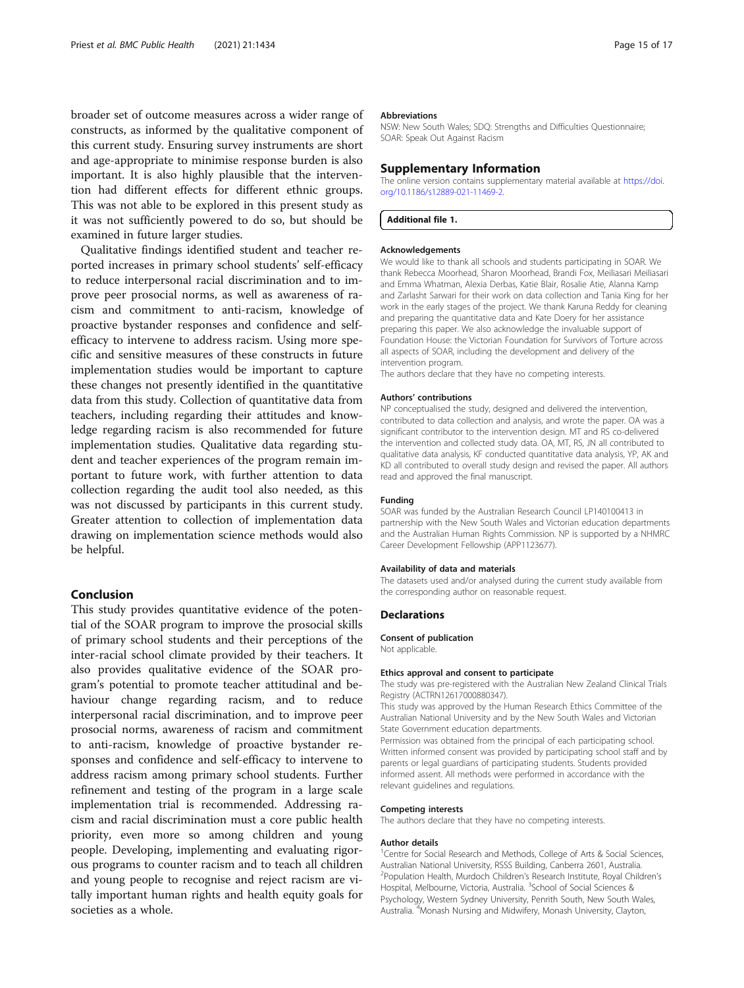<span id="page-15-0"></span>broader set of outcome measures across a wider range of constructs, as informed by the qualitative component of this current study. Ensuring survey instruments are short and age-appropriate to minimise response burden is also important. It is also highly plausible that the intervention had different effects for different ethnic groups. This was not able to be explored in this present study as it was not sufficiently powered to do so, but should be examined in future larger studies.

Qualitative findings identified student and teacher reported increases in primary school students' self-efficacy to reduce interpersonal racial discrimination and to improve peer prosocial norms, as well as awareness of racism and commitment to anti-racism, knowledge of proactive bystander responses and confidence and selfefficacy to intervene to address racism. Using more specific and sensitive measures of these constructs in future implementation studies would be important to capture these changes not presently identified in the quantitative data from this study. Collection of quantitative data from teachers, including regarding their attitudes and knowledge regarding racism is also recommended for future implementation studies. Qualitative data regarding student and teacher experiences of the program remain important to future work, with further attention to data collection regarding the audit tool also needed, as this was not discussed by participants in this current study. Greater attention to collection of implementation data drawing on implementation science methods would also be helpful.

#### Conclusion

This study provides quantitative evidence of the potential of the SOAR program to improve the prosocial skills of primary school students and their perceptions of the inter-racial school climate provided by their teachers. It also provides qualitative evidence of the SOAR program's potential to promote teacher attitudinal and behaviour change regarding racism, and to reduce interpersonal racial discrimination, and to improve peer prosocial norms, awareness of racism and commitment to anti-racism, knowledge of proactive bystander responses and confidence and self-efficacy to intervene to address racism among primary school students. Further refinement and testing of the program in a large scale implementation trial is recommended. Addressing racism and racial discrimination must a core public health priority, even more so among children and young people. Developing, implementing and evaluating rigorous programs to counter racism and to teach all children and young people to recognise and reject racism are vitally important human rights and health equity goals for societies as a whole.

#### Abbreviations

NSW: New South Wales; SDQ: Strengths and Difficulties Questionnaire; SOAR: Speak Out Against Racism

#### Supplementary Information

The online version contains supplementary material available at [https://doi.](https://doi.org/10.1186/s12889-021-11469-2) [org/10.1186/s12889-021-11469-2.](https://doi.org/10.1186/s12889-021-11469-2)

Additional file 1.

#### Acknowledgements

We would like to thank all schools and students participating in SOAR. We thank Rebecca Moorhead, Sharon Moorhead, Brandi Fox, Meiliasari Meiliasari and Emma Whatman, Alexia Derbas, Katie Blair, Rosalie Atie, Alanna Kamp and Zarlasht Sarwari for their work on data collection and Tania King for her work in the early stages of the project. We thank Karuna Reddy for cleaning and preparing the quantitative data and Kate Doery for her assistance preparing this paper. We also acknowledge the invaluable support of Foundation House: the Victorian Foundation for Survivors of Torture across all aspects of SOAR, including the development and delivery of the intervention program.

The authors declare that they have no competing interests.

#### Authors' contributions

NP conceptualised the study, designed and delivered the intervention, contributed to data collection and analysis, and wrote the paper. OA was a significant contributor to the intervention design. MT and RS co-delivered the intervention and collected study data. OA, MT, RS, JN all contributed to qualitative data analysis, KF conducted quantitative data analysis, YP, AK and KD all contributed to overall study design and revised the paper. All authors read and approved the final manuscript.

#### Funding

SOAR was funded by the Australian Research Council LP140100413 in partnership with the New South Wales and Victorian education departments and the Australian Human Rights Commission. NP is supported by a NHMRC Career Development Fellowship (APP1123677).

#### Availability of data and materials

The datasets used and/or analysed during the current study available from the corresponding author on reasonable request.

#### **Declarations**

Consent of publication

Not applicable.

#### Ethics approval and consent to participate

The study was pre-registered with the Australian New Zealand Clinical Trials Registry (ACTRN12617000880347).

This study was approved by the Human Research Ethics Committee of the Australian National University and by the New South Wales and Victorian State Government education departments.

Permission was obtained from the principal of each participating school. Written informed consent was provided by participating school staff and by parents or legal guardians of participating students. Students provided informed assent. All methods were performed in accordance with the relevant guidelines and regulations.

#### Competing interests

The authors declare that they have no competing interests.

#### Author details

<sup>1</sup> Centre for Social Research and Methods, College of Arts & Social Sciences, Australian National University, RSSS Building, Canberra 2601, Australia. 2 Population Health, Murdoch Children's Research Institute, Royal Children's Hospital, Melbourne, Victoria, Australia. <sup>3</sup>School of Social Sciences & Psychology, Western Sydney University, Penrith South, New South Wales, Australia. <sup>4</sup>Monash Nursing and Midwifery, Monash University, Clayton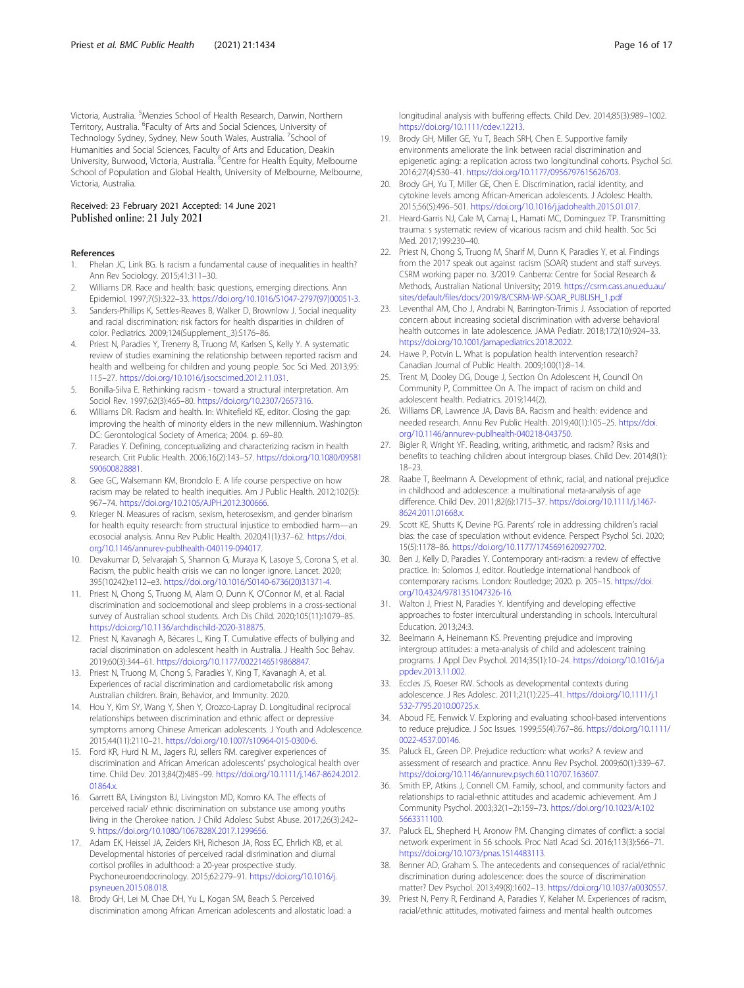<span id="page-16-0"></span>Victoria, Australia. <sup>5</sup>Menzies School of Health Research, Darwin, Northern Territory, Australia. <sup>6</sup>Faculty of Arts and Social Sciences, University of Technology Sydney, Sydney, New South Wales, Australia. <sup>7</sup>School of Humanities and Social Sciences, Faculty of Arts and Education, Deakin University, Burwood, Victoria, Australia. <sup>8</sup>Centre for Health Equity, Melbourne School of Population and Global Health, University of Melbourne, Melbourne, Victoria, Australia.

# Received: 23 February 2021 Accepted: 14 June 2021<br>Published online: 21 July 2021

#### References

- 1. Phelan JC, Link BG. Is racism a fundamental cause of inequalities in health? Ann Rev Sociology. 2015;41:311–30.
- 2. Williams DR. Race and health: basic questions, emerging directions. Ann Epidemiol. 1997;7(5):322–33. [https://doi.org/10.1016/S1047-2797\(97\)00051-3.](https://doi.org/10.1016/S1047-2797(97)00051-3)
- 3. Sanders-Phillips K, Settles-Reaves B, Walker D, Brownlow J. Social inequality and racial discrimination: risk factors for health disparities in children of color. Pediatrics. 2009;124(Supplement\_3):S176–86.
- 4. Priest N, Paradies Y, Trenerry B, Truong M, Karlsen S, Kelly Y. A systematic review of studies examining the relationship between reported racism and health and wellbeing for children and young people. Soc Sci Med. 2013;95: 115–27. [https://doi.org/10.1016/j.socscimed.2012.11.031.](https://doi.org/10.1016/j.socscimed.2012.11.031)
- 5. Bonilla-Silva E. Rethinking racism toward a structural interpretation. Am Sociol Rev. 1997;62(3):465–80. <https://doi.org/10.2307/2657316>.
- 6. Williams DR. Racism and health. In: Whitefield KE, editor. Closing the gap: improving the health of minority elders in the new millennium. Washington DC: Gerontological Society of America; 2004. p. 69–80.
- 7. Paradies Y. Defining, conceptualizing and characterizing racism in health research. Crit Public Health. 2006;16(2):143–57. [https://doi.org/10.1080/09581](https://doi.org/10.1080/09581590600828881) [590600828881.](https://doi.org/10.1080/09581590600828881)
- 8. Gee GC, Walsemann KM, Brondolo E. A life course perspective on how racism may be related to health inequities. Am J Public Health. 2012;102(5): 967–74. [https://doi.org/10.2105/AJPH.2012.300666.](https://doi.org/10.2105/AJPH.2012.300666)
- 9. Krieger N. Measures of racism, sexism, heterosexism, and gender binarism for health equity research: from structural injustice to embodied harm—an ecosocial analysis. Annu Rev Public Health. 2020;41(1):37–62. [https://doi.](https://doi.org/10.1146/annurev-publhealth-040119-094017) [org/10.1146/annurev-publhealth-040119-094017](https://doi.org/10.1146/annurev-publhealth-040119-094017).
- 10. Devakumar D, Selvarajah S, Shannon G, Muraya K, Lasoye S, Corona S, et al. Racism, the public health crisis we can no longer ignore. Lancet. 2020; 395(10242):e112–e3. [https://doi.org/10.1016/S0140-6736\(20\)31371-4](https://doi.org/10.1016/S0140-6736(20)31371-4).
- 11. Priest N, Chong S, Truong M, Alam O, Dunn K, O'Connor M, et al. Racial discrimination and socioemotional and sleep problems in a cross-sectional survey of Australian school students. Arch Dis Child. 2020;105(11):1079–85. <https://doi.org/10.1136/archdischild-2020-318875>.
- 12. Priest N, Kavanagh A, Bécares L, King T. Cumulative effects of bullying and racial discrimination on adolescent health in Australia. J Health Soc Behav. 2019;60(3):344–61. <https://doi.org/10.1177/0022146519868847>.
- 13. Priest N, Truong M, Chong S, Paradies Y, King T, Kavanagh A, et al. Experiences of racial discrimination and cardiometabolic risk among Australian children. Brain, Behavior, and Immunity. 2020.
- 14. Hou Y, Kim SY, Wang Y, Shen Y, Orozco-Lapray D. Longitudinal reciprocal relationships between discrimination and ethnic affect or depressive symptoms among Chinese American adolescents. J Youth and Adolescence. 2015;44(11):2110–21. [https://doi.org/10.1007/s10964-015-0300-6.](https://doi.org/10.1007/s10964-015-0300-6)
- 15. Ford KR, Hurd N. M., Jagers RJ, sellers RM. caregiver experiences of discrimination and African American adolescents' psychological health over time. Child Dev. 2013;84(2):485–99. [https://doi.org/10.1111/j.1467-8624.2012.](https://doi.org/10.1111/j.1467-8624.2012.01864.x) 01864.x
- 16. Garrett BA, Livingston BJ, Livingston MD, Komro KA. The effects of perceived racial/ ethnic discrimination on substance use among youths living in the Cherokee nation. J Child Adolesc Subst Abuse. 2017;26(3):242– 9. <https://doi.org/10.1080/1067828X.2017.1299656>.
- 17. Adam EK, Heissel JA, Zeiders KH, Richeson JA, Ross EC, Ehrlich KB, et al. Developmental histories of perceived racial disrimination and diurnal cortisol profiles in adulthood: a 20-year prospective study. Psychoneuroendocrinology. 2015;62:279–91. [https://doi.org/10.1016/j.](https://doi.org/10.1016/j.psyneuen.2015.08.018) [psyneuen.2015.08.018.](https://doi.org/10.1016/j.psyneuen.2015.08.018)
- 18. Brody GH, Lei M, Chae DH, Yu L, Kogan SM, Beach S. Perceived discrimination among African American adolescents and allostatic load: a

longitudinal analysis with buffering effects. Child Dev. 2014;85(3):989–1002. [https://doi.org/10.1111/cdev.12213.](https://doi.org/10.1111/cdev.12213)

- 19. Brody GH, Miller GE, Yu T, Beach SRH, Chen E. Supportive family environments ameliorate the link between racial discrimination and epigenetic aging: a replication across two longitundinal cohorts. Psychol Sci. 2016;27(4):530–41. <https://doi.org/10.1177/0956797615626703>.
- 20. Brody GH, Yu T, Miller GE, Chen E. Discrimination, racial identity, and cytokine levels among African-American adolescents. J Adolesc Health. 2015;56(5):496–501. <https://doi.org/10.1016/j.jadohealth.2015.01.017>.
- 21. Heard-Garris NJ, Cale M, Camaj L, Hamati MC, Dominguez TP. Transmitting trauma: s systematic review of vicarious racism and child health. Soc Sci Med. 2017;199:230–40.
- 22. Priest N, Chong S, Truong M, Sharif M, Dunn K, Paradies Y, et al. Findings from the 2017 speak out against racism (SOAR) student and staff surveys. CSRM working paper no. 3/2019. Canberra: Centre for Social Research & Methods, Australian National University; 2019. [https://csrm.cass.anu.edu.au/](https://csrm.cass.anu.edu.au/sites/default/files/docs/2019/8/CSRM-WP-SOAR_PUBLISH_1.pdf) [sites/default/files/docs/2019/8/CSRM-WP-SOAR\\_PUBLISH\\_1.pdf](https://csrm.cass.anu.edu.au/sites/default/files/docs/2019/8/CSRM-WP-SOAR_PUBLISH_1.pdf)
- 23. Leventhal AM, Cho J, Andrabi N, Barrington-Trimis J. Association of reported concern about increasing societal discrimination with adverse behavioral health outcomes in late adolescence. JAMA Pediatr. 2018;172(10):924–33. [https://doi.org/10.1001/jamapediatrics.2018.2022.](https://doi.org/10.1001/jamapediatrics.2018.2022)
- 24. Hawe P, Potvin L. What is population health intervention research? Canadian Journal of Public Health. 2009;100(1):8–14.
- 25. Trent M, Dooley DG, Douge J, Section On Adolescent H, Council On Community P, Committee On A. The impact of racism on child and adolescent health. Pediatrics. 2019;144(2).
- 26. Williams DR, Lawrence JA, Davis BA. Racism and health: evidence and needed research. Annu Rev Public Health. 2019;40(1):105–25. [https://doi.](https://doi.org/10.1146/annurev-publhealth-040218-043750) [org/10.1146/annurev-publhealth-040218-043750](https://doi.org/10.1146/annurev-publhealth-040218-043750).
- 27. Bigler R, Wright YF. Reading, writing, arithmetic, and racism? Risks and benefits to teaching children about intergroup biases. Child Dev. 2014;8(1): 18–23.
- 28. Raabe T, Beelmann A. Development of ethnic, racial, and national prejudice in childhood and adolescence: a multinational meta-analysis of age difference. Child Dev. 2011;82(6):1715–37. [https://doi.org/10.1111/j.1467-](https://doi.org/10.1111/j.1467-8624.2011.01668.x) [8624.2011.01668.x.](https://doi.org/10.1111/j.1467-8624.2011.01668.x)
- 29. Scott KE, Shutts K, Devine PG. Parents' role in addressing children's racial bias: the case of speculation without evidence. Perspect Psychol Sci. 2020; 15(5):1178–86. <https://doi.org/10.1177/1745691620927702>.
- 30. Ben J, Kelly D, Paradies Y. Contemporary anti-racism: a review of effective practice. In: Solomos J, editor. Routledge international handbook of contemporary racisms. London: Routledge; 2020. p. 205–15. [https://doi.](https://doi.org/10.4324/9781351047326-16) [org/10.4324/9781351047326-16](https://doi.org/10.4324/9781351047326-16).
- 31. Walton J, Priest N, Paradies Y. Identifying and developing effective approaches to foster intercultural understanding in schools. Intercultural Education. 2013;24:3.
- 32. Beelmann A, Heinemann KS. Preventing prejudice and improving intergroup attitudes: a meta-analysis of child and adolescent training programs. J Appl Dev Psychol. 2014;35(1):10–24. [https://doi.org/10.1016/j.a](https://doi.org/10.1016/j.appdev.2013.11.002) [ppdev.2013.11.002](https://doi.org/10.1016/j.appdev.2013.11.002).
- 33. Eccles JS, Roeser RW. Schools as developmental contexts during adolescence. J Res Adolesc. 2011;21(1):225–41. [https://doi.org/10.1111/j.1](https://doi.org/10.1111/j.1532-7795.2010.00725.x) [532-7795.2010.00725.x](https://doi.org/10.1111/j.1532-7795.2010.00725.x).
- 34. Aboud FE, Fenwick V. Exploring and evaluating school-based interventions to reduce prejudice. J Soc Issues. 1999;55(4):767–86. [https://doi.org/10.1111/](https://doi.org/10.1111/0022-4537.00146) [0022-4537.00146](https://doi.org/10.1111/0022-4537.00146).
- 35. Paluck EL, Green DP. Prejudice reduction: what works? A review and assessment of research and practice. Annu Rev Psychol. 2009;60(1):339–67. <https://doi.org/10.1146/annurev.psych.60.110707.163607>.
- 36. Smith EP, Atkins J, Connell CM. Family, school, and community factors and relationships to racial-ethnic attitudes and academic achievement. Am J Community Psychol. 2003;32(1–2):159–73. [https://doi.org/10.1023/A:102](https://doi.org/10.1023/A:1025663311100) [5663311100.](https://doi.org/10.1023/A:1025663311100)
- 37. Paluck EL, Shepherd H, Aronow PM. Changing climates of conflict: a social network experiment in 56 schools. Proc Natl Acad Sci. 2016;113(3):566–71. [https://doi.org/10.1073/pnas.1514483113.](https://doi.org/10.1073/pnas.1514483113)
- 38. Benner AD, Graham S. The antecedents and consequences of racial/ethnic discrimination during adolescence: does the source of discrimination matter? Dev Psychol. 2013;49(8):1602–13. <https://doi.org/10.1037/a0030557>.
- 39. Priest N, Perry R, Ferdinand A, Paradies Y, Kelaher M. Experiences of racism, racial/ethnic attitudes, motivated fairness and mental health outcomes